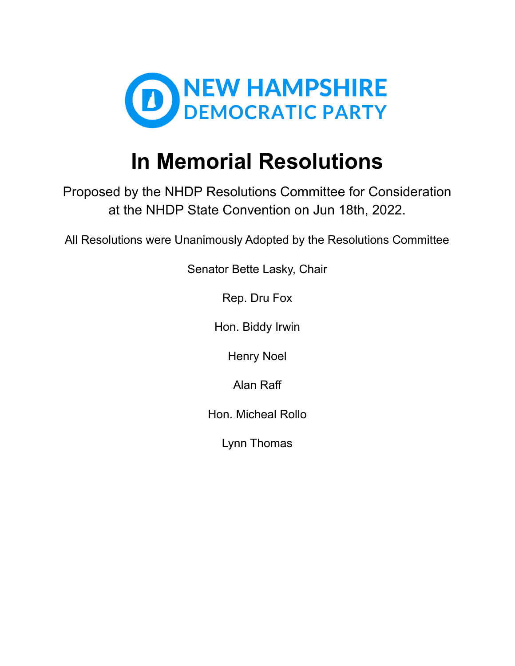

# **In Memorial Resolutions**

Proposed by the NHDP Resolutions Committee for Consideration at the NHDP State Convention on Jun 18th, 2022.

All Resolutions were Unanimously Adopted by the Resolutions Committee

Senator Bette Lasky, Chair

Rep. Dru Fox

Hon. Biddy Irwin

Henry Noel

Alan Raff

Hon. Micheal Rollo

Lynn Thomas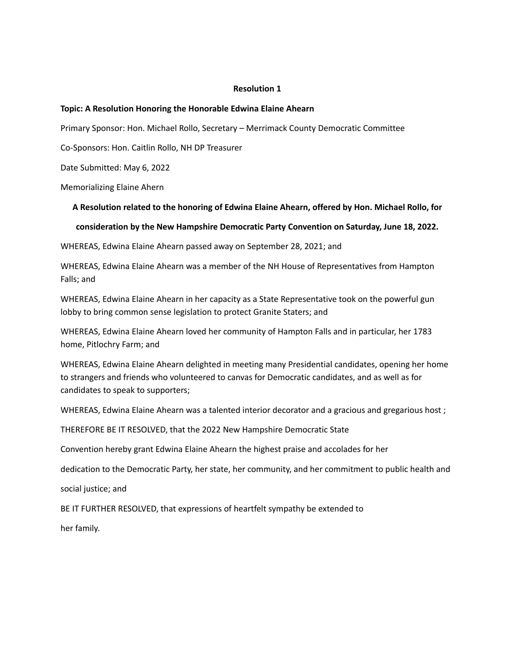#### **Topic: A Resolution Honoring the Honorable Edwina Elaine Ahearn**

Primary Sponsor: Hon. Michael Rollo, Secretary – Merrimack County Democratic Committee

Co-Sponsors: Hon. Caitlin Rollo, NH DP Treasurer

Date Submitted: May 6, 2022

Memorializing Elaine Ahern

#### **A Resolution related to the honoring of Edwina Elaine Ahearn, offered by Hon. Michael Rollo, for**

#### **consideration by the New Hampshire Democratic Party Convention on Saturday, June 18, 2022.**

WHEREAS, Edwina Elaine Ahearn passed away on September 28, 2021; and

WHEREAS, Edwina Elaine Ahearn was a member of the NH House of Representatives from Hampton Falls; and

WHEREAS, Edwina Elaine Ahearn in her capacity as a State Representative took on the powerful gun lobby to bring common sense legislation to protect Granite Staters; and

WHEREAS, Edwina Elaine Ahearn loved her community of Hampton Falls and in particular, her 1783 home, Pitlochry Farm; and

WHEREAS, Edwina Elaine Ahearn delighted in meeting many Presidential candidates, opening her home to strangers and friends who volunteered to canvas for Democratic candidates, and as well as for candidates to speak to supporters;

WHEREAS, Edwina Elaine Ahearn was a talented interior decorator and a gracious and gregarious host ;

THEREFORE BE IT RESOLVED, that the 2022 New Hampshire Democratic State

Convention hereby grant Edwina Elaine Ahearn the highest praise and accolades for her

dedication to the Democratic Party, her state, her community, and her commitment to public health and

social justice; and

BE IT FURTHER RESOLVED, that expressions of heartfelt sympathy be extended to

her family.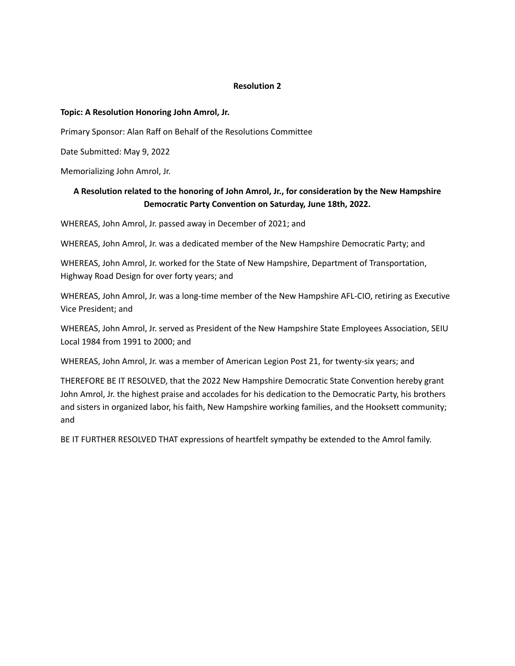## **Topic: A Resolution Honoring John Amrol, Jr.**

Primary Sponsor: Alan Raff on Behalf of the Resolutions Committee

Date Submitted: May 9, 2022

Memorializing John Amrol, Jr.

# **A Resolution related to the honoring of John Amrol, Jr., for consideration by the New Hampshire Democratic Party Convention on Saturday, June 18th, 2022.**

WHEREAS, John Amrol, Jr. passed away in December of 2021; and

WHEREAS, John Amrol, Jr. was a dedicated member of the New Hampshire Democratic Party; and

WHEREAS, John Amrol, Jr. worked for the State of New Hampshire, Department of Transportation, Highway Road Design for over forty years; and

WHEREAS, John Amrol, Jr. was a long-time member of the New Hampshire AFL-CIO, retiring as Executive Vice President; and

WHEREAS, John Amrol, Jr. served as President of the New Hampshire State Employees Association, SEIU Local 1984 from 1991 to 2000; and

WHEREAS, John Amrol, Jr. was a member of American Legion Post 21, for twenty-six years; and

THEREFORE BE IT RESOLVED, that the 2022 New Hampshire Democratic State Convention hereby grant John Amrol, Jr. the highest praise and accolades for his dedication to the Democratic Party, his brothers and sisters in organized labor, his faith, New Hampshire working families, and the Hooksett community; and

BE IT FURTHER RESOLVED THAT expressions of heartfelt sympathy be extended to the Amrol family.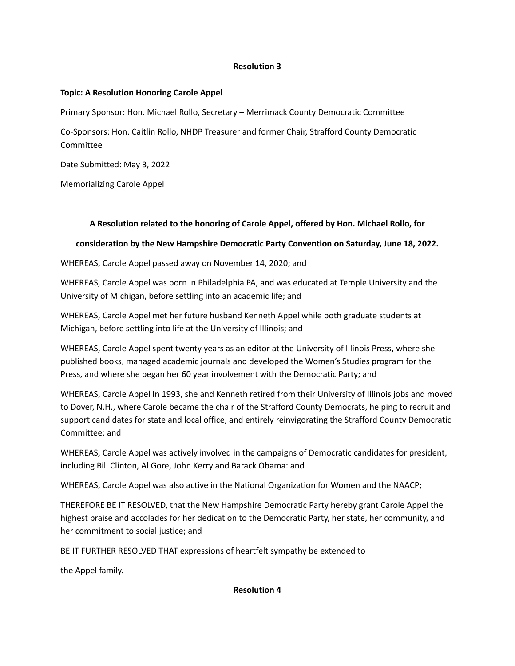# **Topic: A Resolution Honoring Carole Appel**

Primary Sponsor: Hon. Michael Rollo, Secretary – Merrimack County Democratic Committee

Co-Sponsors: Hon. Caitlin Rollo, NHDP Treasurer and former Chair, Strafford County Democratic Committee

Date Submitted: May 3, 2022

Memorializing Carole Appel

# **A Resolution related to the honoring of Carole Appel, offered by Hon. Michael Rollo, for**

# **consideration by the New Hampshire Democratic Party Convention on Saturday, June 18, 2022.**

WHEREAS, Carole Appel passed away on November 14, 2020; and

WHEREAS, Carole Appel was born in Philadelphia PA, and was educated at Temple University and the University of Michigan, before settling into an academic life; and

WHEREAS, Carole Appel met her future husband Kenneth Appel while both graduate students at Michigan, before settling into life at the University of Illinois; and

WHEREAS, Carole Appel spent twenty years as an editor at the University of Illinois Press, where she published books, managed academic journals and developed the Women's Studies program for the Press, and where she began her 60 year involvement with the Democratic Party; and

WHEREAS, Carole Appel In 1993, she and Kenneth retired from their University of Illinois jobs and moved to Dover, N.H., where Carole became the chair of the Strafford County Democrats, helping to recruit and support candidates for state and local office, and entirely reinvigorating the Strafford County Democratic Committee; and

WHEREAS, Carole Appel was actively involved in the campaigns of Democratic candidates for president, including Bill Clinton, Al Gore, John Kerry and Barack Obama: and

WHEREAS, Carole Appel was also active in the National Organization for Women and the NAACP;

THEREFORE BE IT RESOLVED, that the New Hampshire Democratic Party hereby grant Carole Appel the highest praise and accolades for her dedication to the Democratic Party, her state, her community, and her commitment to social justice; and

BE IT FURTHER RESOLVED THAT expressions of heartfelt sympathy be extended to

the Appel family.

# **Resolution 4**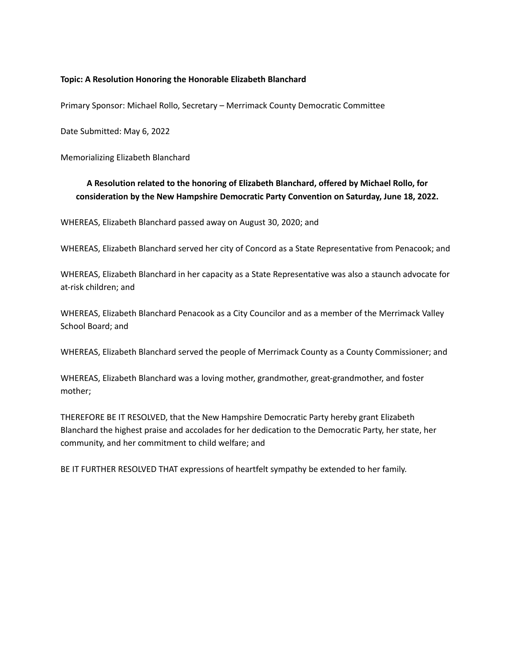## **Topic: A Resolution Honoring the Honorable Elizabeth Blanchard**

Primary Sponsor: Michael Rollo, Secretary – Merrimack County Democratic Committee

Date Submitted: May 6, 2022

Memorializing Elizabeth Blanchard

# **A Resolution related to the honoring of Elizabeth Blanchard, offered by Michael Rollo, for consideration by the New Hampshire Democratic Party Convention on Saturday, June 18, 2022.**

WHEREAS, Elizabeth Blanchard passed away on August 30, 2020; and

WHEREAS, Elizabeth Blanchard served her city of Concord as a State Representative from Penacook; and

WHEREAS, Elizabeth Blanchard in her capacity as a State Representative was also a staunch advocate for at-risk children; and

WHEREAS, Elizabeth Blanchard Penacook as a City Councilor and as a member of the Merrimack Valley School Board; and

WHEREAS, Elizabeth Blanchard served the people of Merrimack County as a County Commissioner; and

WHEREAS, Elizabeth Blanchard was a loving mother, grandmother, great-grandmother, and foster mother;

THEREFORE BE IT RESOLVED, that the New Hampshire Democratic Party hereby grant Elizabeth Blanchard the highest praise and accolades for her dedication to the Democratic Party, her state, her community, and her commitment to child welfare; and

BE IT FURTHER RESOLVED THAT expressions of heartfelt sympathy be extended to her family.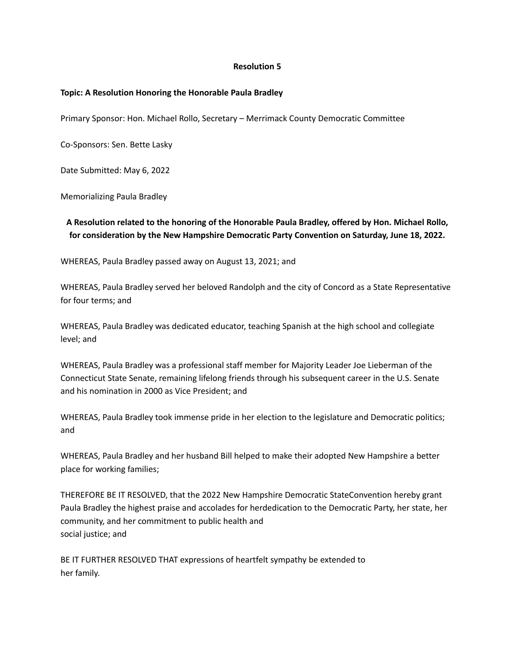## **Topic: A Resolution Honoring the Honorable Paula Bradley**

Primary Sponsor: Hon. Michael Rollo, Secretary – Merrimack County Democratic Committee

Co-Sponsors: Sen. Bette Lasky

Date Submitted: May 6, 2022

Memorializing Paula Bradley

# **A Resolution related to the honoring of the Honorable Paula Bradley, offered by Hon. Michael Rollo, for consideration by the New Hampshire Democratic Party Convention on Saturday, June 18, 2022.**

WHEREAS, Paula Bradley passed away on August 13, 2021; and

WHEREAS, Paula Bradley served her beloved Randolph and the city of Concord as a State Representative for four terms; and

WHEREAS, Paula Bradley was dedicated educator, teaching Spanish at the high school and collegiate level; and

WHEREAS, Paula Bradley was a professional staff member for Majority Leader Joe Lieberman of the Connecticut State Senate, remaining lifelong friends through his subsequent career in the U.S. Senate and his nomination in 2000 as Vice President; and

WHEREAS, Paula Bradley took immense pride in her election to the legislature and Democratic politics; and

WHEREAS, Paula Bradley and her husband Bill helped to make their adopted New Hampshire a better place for working families;

THEREFORE BE IT RESOLVED, that the 2022 New Hampshire Democratic StateConvention hereby grant Paula Bradley the highest praise and accolades for herdedication to the Democratic Party, her state, her community, and her commitment to public health and social justice; and

BE IT FURTHER RESOLVED THAT expressions of heartfelt sympathy be extended to her family.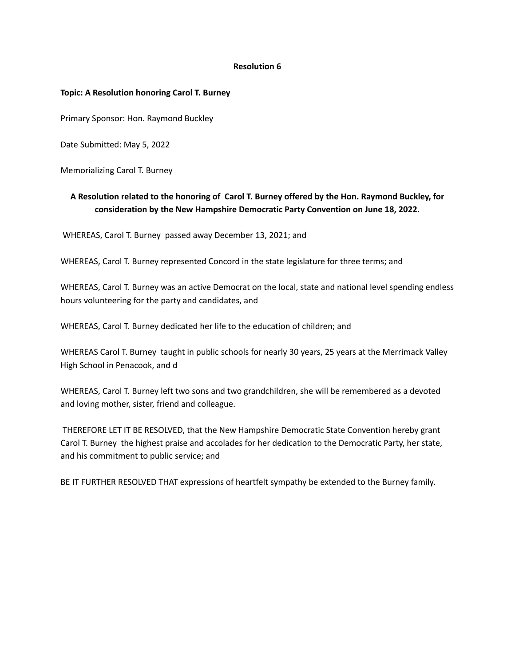## **Topic: A Resolution honoring Carol T. Burney**

Primary Sponsor: Hon. Raymond Buckley

Date Submitted: May 5, 2022

Memorializing Carol T. Burney

# **A Resolution related to the honoring of Carol T. Burney offered by the Hon. Raymond Buckley, for consideration by the New Hampshire Democratic Party Convention on June 18, 2022.**

WHEREAS, Carol T. Burney passed away December 13, 2021; and

WHEREAS, Carol T. Burney represented Concord in the state legislature for three terms; and

WHEREAS, Carol T. Burney was an active Democrat on the local, state and national level spending endless hours volunteering for the party and candidates, and

WHEREAS, Carol T. Burney dedicated her life to the education of children; and

WHEREAS Carol T. Burney taught in public schools for nearly 30 years, 25 years at the Merrimack Valley High School in Penacook, and d

WHEREAS, Carol T. Burney left two sons and two grandchildren, she will be remembered as a devoted and loving mother, sister, friend and colleague.

THEREFORE LET IT BE RESOLVED, that the New Hampshire Democratic State Convention hereby grant Carol T. Burney the highest praise and accolades for her dedication to the Democratic Party, her state, and his commitment to public service; and

BE IT FURTHER RESOLVED THAT expressions of heartfelt sympathy be extended to the Burney family.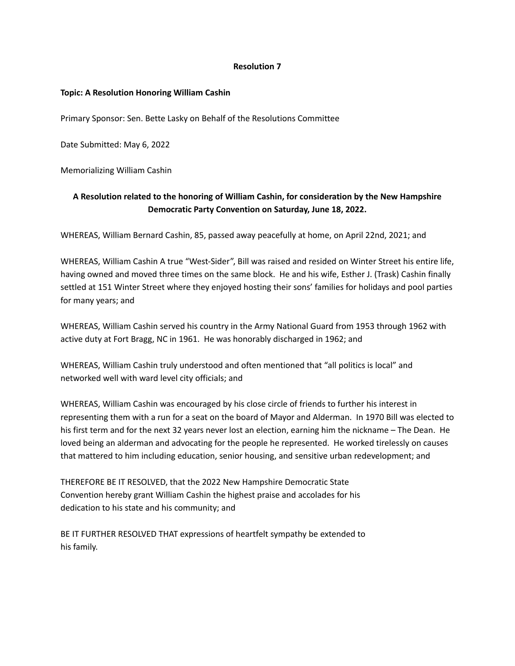## **Topic: A Resolution Honoring William Cashin**

Primary Sponsor: Sen. Bette Lasky on Behalf of the Resolutions Committee

Date Submitted: May 6, 2022

Memorializing William Cashin

# **A Resolution related to the honoring of William Cashin, for consideration by the New Hampshire Democratic Party Convention on Saturday, June 18, 2022.**

WHEREAS, William Bernard Cashin, 85, passed away peacefully at home, on April 22nd, 2021; and

WHEREAS, William Cashin A true "West-Sider", Bill was raised and resided on Winter Street his entire life, having owned and moved three times on the same block. He and his wife, Esther J. (Trask) Cashin finally settled at 151 Winter Street where they enjoyed hosting their sons' families for holidays and pool parties for many years; and

WHEREAS, William Cashin served his country in the Army National Guard from 1953 through 1962 with active duty at Fort Bragg, NC in 1961. He was honorably discharged in 1962; and

WHEREAS, William Cashin truly understood and often mentioned that "all politics is local" and networked well with ward level city officials; and

WHEREAS, William Cashin was encouraged by his close circle of friends to further his interest in representing them with a run for a seat on the board of Mayor and Alderman. In 1970 Bill was elected to his first term and for the next 32 years never lost an election, earning him the nickname – The Dean. He loved being an alderman and advocating for the people he represented. He worked tirelessly on causes that mattered to him including education, senior housing, and sensitive urban redevelopment; and

THEREFORE BE IT RESOLVED, that the 2022 New Hampshire Democratic State Convention hereby grant William Cashin the highest praise and accolades for his dedication to his state and his community; and

BE IT FURTHER RESOLVED THAT expressions of heartfelt sympathy be extended to his family.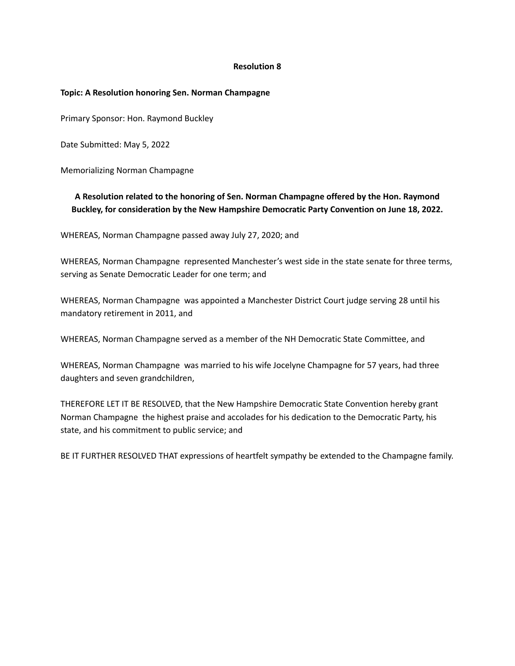## **Topic: A Resolution honoring Sen. Norman Champagne**

Primary Sponsor: Hon. Raymond Buckley

Date Submitted: May 5, 2022

Memorializing Norman Champagne

# **A Resolution related to the honoring of Sen. Norman Champagne offered by the Hon. Raymond Buckley, for consideration by the New Hampshire Democratic Party Convention on June 18, 2022.**

WHEREAS, Norman Champagne passed away July 27, 2020; and

WHEREAS, Norman Champagne represented Manchester's west side in the state senate for three terms, serving as Senate Democratic Leader for one term; and

WHEREAS, Norman Champagne was appointed a Manchester District Court judge serving 28 until his mandatory retirement in 2011, and

WHEREAS, Norman Champagne served as a member of the NH Democratic State Committee, and

WHEREAS, Norman Champagne was married to his wife Jocelyne Champagne for 57 years, had three daughters and seven grandchildren,

THEREFORE LET IT BE RESOLVED, that the New Hampshire Democratic State Convention hereby grant Norman Champagne the highest praise and accolades for his dedication to the Democratic Party, his state, and his commitment to public service; and

BE IT FURTHER RESOLVED THAT expressions of heartfelt sympathy be extended to the Champagne family.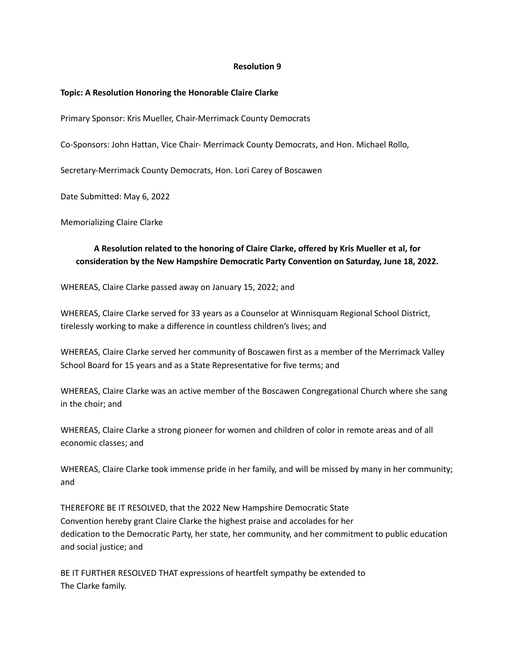## **Topic: A Resolution Honoring the Honorable Claire Clarke**

Primary Sponsor: Kris Mueller, Chair-Merrimack County Democrats

Co-Sponsors: John Hattan, Vice Chair- Merrimack County Democrats, and Hon. Michael Rollo,

Secretary-Merrimack County Democrats, Hon. Lori Carey of Boscawen

Date Submitted: May 6, 2022

Memorializing Claire Clarke

# **A Resolution related to the honoring of Claire Clarke, offered by Kris Mueller et al, for consideration by the New Hampshire Democratic Party Convention on Saturday, June 18, 2022.**

WHEREAS, Claire Clarke passed away on January 15, 2022; and

WHEREAS, Claire Clarke served for 33 years as a Counselor at Winnisquam Regional School District, tirelessly working to make a difference in countless children's lives; and

WHEREAS, Claire Clarke served her community of Boscawen first as a member of the Merrimack Valley School Board for 15 years and as a State Representative for five terms; and

WHEREAS, Claire Clarke was an active member of the Boscawen Congregational Church where she sang in the choir; and

WHEREAS, Claire Clarke a strong pioneer for women and children of color in remote areas and of all economic classes; and

WHEREAS, Claire Clarke took immense pride in her family, and will be missed by many in her community; and

THEREFORE BE IT RESOLVED, that the 2022 New Hampshire Democratic State Convention hereby grant Claire Clarke the highest praise and accolades for her dedication to the Democratic Party, her state, her community, and her commitment to public education and social justice; and

BE IT FURTHER RESOLVED THAT expressions of heartfelt sympathy be extended to The Clarke family.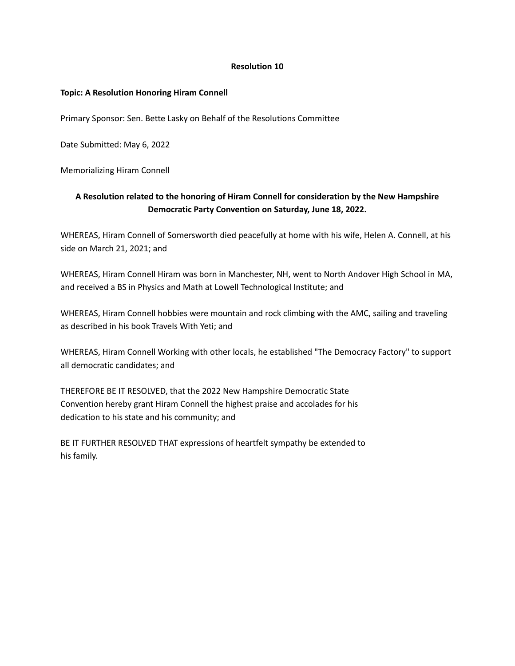## **Topic: A Resolution Honoring Hiram Connell**

Primary Sponsor: Sen. Bette Lasky on Behalf of the Resolutions Committee

Date Submitted: May 6, 2022

Memorializing Hiram Connell

# **A Resolution related to the honoring of Hiram Connell for consideration by the New Hampshire Democratic Party Convention on Saturday, June 18, 2022.**

WHEREAS, Hiram Connell of Somersworth died peacefully at home with his wife, Helen A. Connell, at his side on March 21, 2021; and

WHEREAS, Hiram Connell Hiram was born in Manchester, NH, went to North Andover High School in MA, and received a BS in Physics and Math at Lowell Technological Institute; and

WHEREAS, Hiram Connell hobbies were mountain and rock climbing with the AMC, sailing and traveling as described in his book Travels With Yeti; and

WHEREAS, Hiram Connell Working with other locals, he established "The Democracy Factory" to support all democratic candidates; and

THEREFORE BE IT RESOLVED, that the 2022 New Hampshire Democratic State Convention hereby grant Hiram Connell the highest praise and accolades for his dedication to his state and his community; and

BE IT FURTHER RESOLVED THAT expressions of heartfelt sympathy be extended to his family.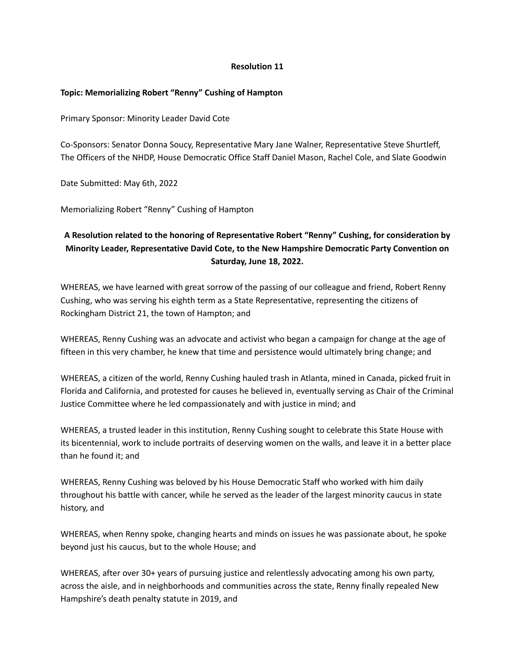# **Topic: Memorializing Robert "Renny" Cushing of Hampton**

Primary Sponsor: Minority Leader David Cote

Co-Sponsors: Senator Donna Soucy, Representative Mary Jane Walner, Representative Steve Shurtleff, The Officers of the NHDP, House Democratic Office Staff Daniel Mason, Rachel Cole, and Slate Goodwin

Date Submitted: May 6th, 2022

Memorializing Robert "Renny" Cushing of Hampton

# **A Resolution related to the honoring of Representative Robert "Renny" Cushing, for consideration by Minority Leader, Representative David Cote, to the New Hampshire Democratic Party Convention on Saturday, June 18, 2022.**

WHEREAS, we have learned with great sorrow of the passing of our colleague and friend, Robert Renny Cushing, who was serving his eighth term as a State Representative, representing the citizens of Rockingham District 21, the town of Hampton; and

WHEREAS, Renny Cushing was an advocate and activist who began a campaign for change at the age of fifteen in this very chamber, he knew that time and persistence would ultimately bring change; and

WHEREAS, a citizen of the world, Renny Cushing hauled trash in Atlanta, mined in Canada, picked fruit in Florida and California, and protested for causes he believed in, eventually serving as Chair of the Criminal Justice Committee where he led compassionately and with justice in mind; and

WHEREAS, a trusted leader in this institution, Renny Cushing sought to celebrate this State House with its bicentennial, work to include portraits of deserving women on the walls, and leave it in a better place than he found it; and

WHEREAS, Renny Cushing was beloved by his House Democratic Staff who worked with him daily throughout his battle with cancer, while he served as the leader of the largest minority caucus in state history, and

WHEREAS, when Renny spoke, changing hearts and minds on issues he was passionate about, he spoke beyond just his caucus, but to the whole House; and

WHEREAS, after over 30+ years of pursuing justice and relentlessly advocating among his own party, across the aisle, and in neighborhoods and communities across the state, Renny finally repealed New Hampshire's death penalty statute in 2019, and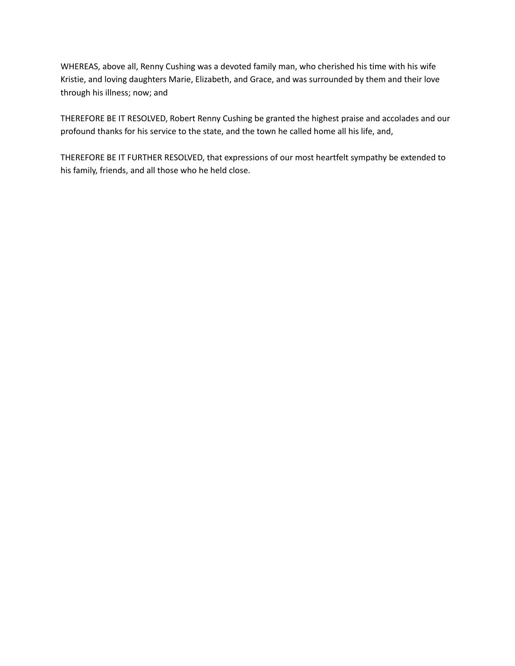WHEREAS, above all, Renny Cushing was a devoted family man, who cherished his time with his wife Kristie, and loving daughters Marie, Elizabeth, and Grace, and was surrounded by them and their love through his illness; now; and

THEREFORE BE IT RESOLVED, Robert Renny Cushing be granted the highest praise and accolades and our profound thanks for his service to the state, and the town he called home all his life, and,

THEREFORE BE IT FURTHER RESOLVED, that expressions of our most heartfelt sympathy be extended to his family, friends, and all those who he held close.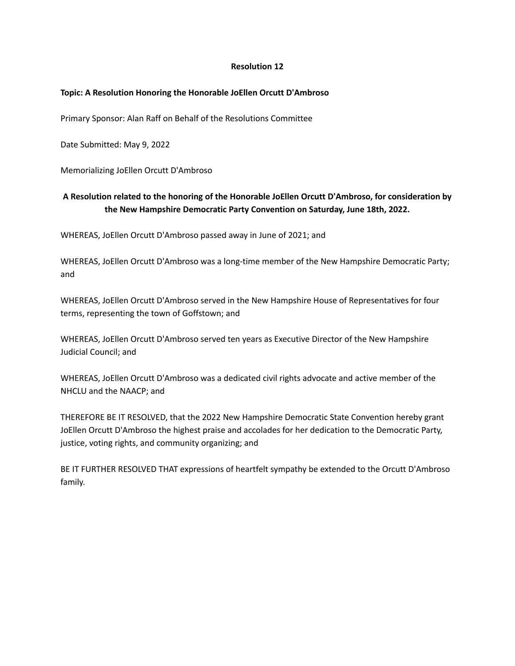# **Topic: A Resolution Honoring the Honorable JoEllen Orcutt D'Ambroso**

Primary Sponsor: Alan Raff on Behalf of the Resolutions Committee

Date Submitted: May 9, 2022

Memorializing JoEllen Orcutt D'Ambroso

# **A Resolution related to the honoring of the Honorable JoEllen Orcutt D'Ambroso, for consideration by the New Hampshire Democratic Party Convention on Saturday, June 18th, 2022.**

WHEREAS, JoEllen Orcutt D'Ambroso passed away in June of 2021; and

WHEREAS, JoEllen Orcutt D'Ambroso was a long-time member of the New Hampshire Democratic Party; and

WHEREAS, JoEllen Orcutt D'Ambroso served in the New Hampshire House of Representatives for four terms, representing the town of Goffstown; and

WHEREAS, JoEllen Orcutt D'Ambroso served ten years as Executive Director of the New Hampshire Judicial Council; and

WHEREAS, JoEllen Orcutt D'Ambroso was a dedicated civil rights advocate and active member of the NHCLU and the NAACP; and

THEREFORE BE IT RESOLVED, that the 2022 New Hampshire Democratic State Convention hereby grant JoEllen Orcutt D'Ambroso the highest praise and accolades for her dedication to the Democratic Party, justice, voting rights, and community organizing; and

BE IT FURTHER RESOLVED THAT expressions of heartfelt sympathy be extended to the Orcutt D'Ambroso family.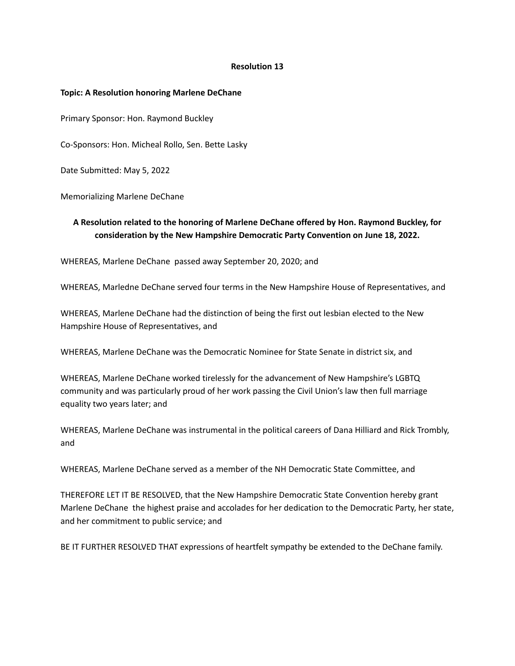#### **Topic: A Resolution honoring Marlene DeChane**

Primary Sponsor: Hon. Raymond Buckley

Co-Sponsors: Hon. Micheal Rollo, Sen. Bette Lasky

Date Submitted: May 5, 2022

Memorializing Marlene DeChane

# **A Resolution related to the honoring of Marlene DeChane offered by Hon. Raymond Buckley, for consideration by the New Hampshire Democratic Party Convention on June 18, 2022.**

WHEREAS, Marlene DeChane passed away September 20, 2020; and

WHEREAS, Marledne DeChane served four terms in the New Hampshire House of Representatives, and

WHEREAS, Marlene DeChane had the distinction of being the first out lesbian elected to the New Hampshire House of Representatives, and

WHEREAS, Marlene DeChane was the Democratic Nominee for State Senate in district six, and

WHEREAS, Marlene DeChane worked tirelessly for the advancement of New Hampshire's LGBTQ community and was particularly proud of her work passing the Civil Union's law then full marriage equality two years later; and

WHEREAS, Marlene DeChane was instrumental in the political careers of Dana Hilliard and Rick Trombly, and

WHEREAS, Marlene DeChane served as a member of the NH Democratic State Committee, and

THEREFORE LET IT BE RESOLVED, that the New Hampshire Democratic State Convention hereby grant Marlene DeChane the highest praise and accolades for her dedication to the Democratic Party, her state, and her commitment to public service; and

BE IT FURTHER RESOLVED THAT expressions of heartfelt sympathy be extended to the DeChane family.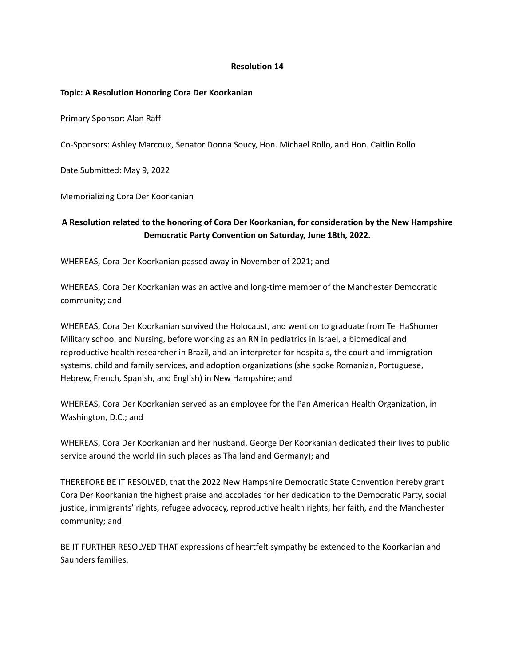## **Topic: A Resolution Honoring Cora Der Koorkanian**

Primary Sponsor: Alan Raff

Co-Sponsors: Ashley Marcoux, Senator Donna Soucy, Hon. Michael Rollo, and Hon. Caitlin Rollo

Date Submitted: May 9, 2022

Memorializing Cora Der Koorkanian

# **A Resolution related to the honoring of Cora Der Koorkanian, for consideration by the New Hampshire Democratic Party Convention on Saturday, June 18th, 2022.**

WHEREAS, Cora Der Koorkanian passed away in November of 2021; and

WHEREAS, Cora Der Koorkanian was an active and long-time member of the Manchester Democratic community; and

WHEREAS, Cora Der Koorkanian survived the Holocaust, and went on to graduate from Tel HaShomer Military school and Nursing, before working as an RN in pediatrics in Israel, a biomedical and reproductive health researcher in Brazil, and an interpreter for hospitals, the court and immigration systems, child and family services, and adoption organizations (she spoke Romanian, Portuguese, Hebrew, French, Spanish, and English) in New Hampshire; and

WHEREAS, Cora Der Koorkanian served as an employee for the Pan American Health Organization, in Washington, D.C.; and

WHEREAS, Cora Der Koorkanian and her husband, George Der Koorkanian dedicated their lives to public service around the world (in such places as Thailand and Germany); and

THEREFORE BE IT RESOLVED, that the 2022 New Hampshire Democratic State Convention hereby grant Cora Der Koorkanian the highest praise and accolades for her dedication to the Democratic Party, social justice, immigrants' rights, refugee advocacy, reproductive health rights, her faith, and the Manchester community; and

BE IT FURTHER RESOLVED THAT expressions of heartfelt sympathy be extended to the Koorkanian and Saunders families.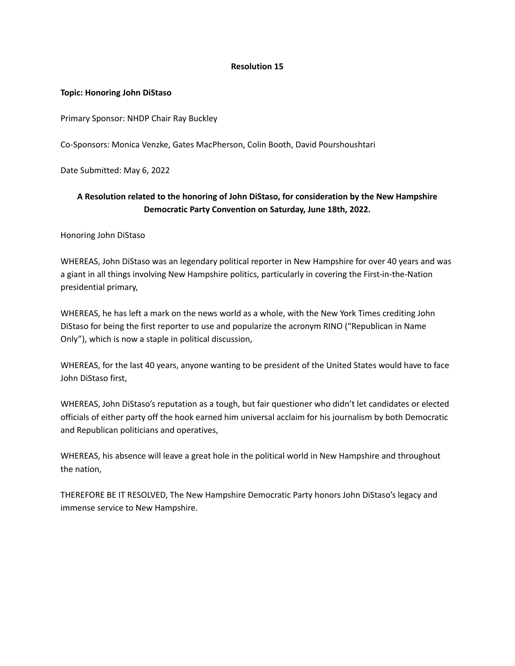## **Topic: Honoring John DiStaso**

Primary Sponsor: NHDP Chair Ray Buckley

Co-Sponsors: Monica Venzke, Gates MacPherson, Colin Booth, David Pourshoushtari

Date Submitted: May 6, 2022

# **A Resolution related to the honoring of John DiStaso, for consideration by the New Hampshire Democratic Party Convention on Saturday, June 18th, 2022.**

Honoring John DiStaso

WHEREAS, John DiStaso was an legendary political reporter in New Hampshire for over 40 years and was a giant in all things involving New Hampshire politics, particularly in covering the First-in-the-Nation presidential primary,

WHEREAS, he has left a mark on the news world as a whole, with the New York Times crediting John DiStaso for being the first reporter to use and popularize the acronym RINO ("Republican in Name Only"), which is now a staple in political discussion,

WHEREAS, for the last 40 years, anyone wanting to be president of the United States would have to face John DiStaso first,

WHEREAS, John DiStaso's reputation as a tough, but fair questioner who didn't let candidates or elected officials of either party off the hook earned him universal acclaim for his journalism by both Democratic and Republican politicians and operatives,

WHEREAS, his absence will leave a great hole in the political world in New Hampshire and throughout the nation,

THEREFORE BE IT RESOLVED, The New Hampshire Democratic Party honors John DiStaso's legacy and immense service to New Hampshire.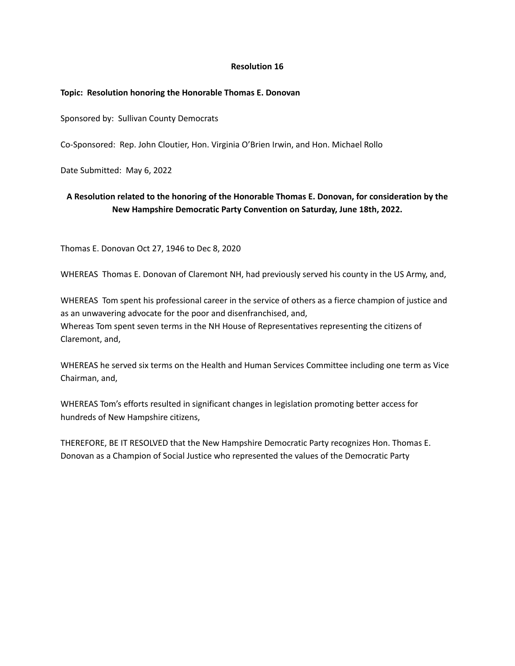## **Topic: Resolution honoring the Honorable Thomas E. Donovan**

Sponsored by: Sullivan County Democrats

Co-Sponsored: Rep. John Cloutier, Hon. Virginia O'Brien Irwin, and Hon. Michael Rollo

Date Submitted: May 6, 2022

# **A Resolution related to the honoring of the Honorable Thomas E. Donovan, for consideration by the New Hampshire Democratic Party Convention on Saturday, June 18th, 2022.**

Thomas E. Donovan Oct 27, 1946 to Dec 8, 2020

WHEREAS Thomas E. Donovan of Claremont NH, had previously served his county in the US Army, and,

WHEREAS Tom spent his professional career in the service of others as a fierce champion of justice and as an unwavering advocate for the poor and disenfranchised, and, Whereas Tom spent seven terms in the NH House of Representatives representing the citizens of Claremont, and,

WHEREAS he served six terms on the Health and Human Services Committee including one term as Vice Chairman, and,

WHEREAS Tom's efforts resulted in significant changes in legislation promoting better access for hundreds of New Hampshire citizens,

THEREFORE, BE IT RESOLVED that the New Hampshire Democratic Party recognizes Hon. Thomas E. Donovan as a Champion of Social Justice who represented the values of the Democratic Party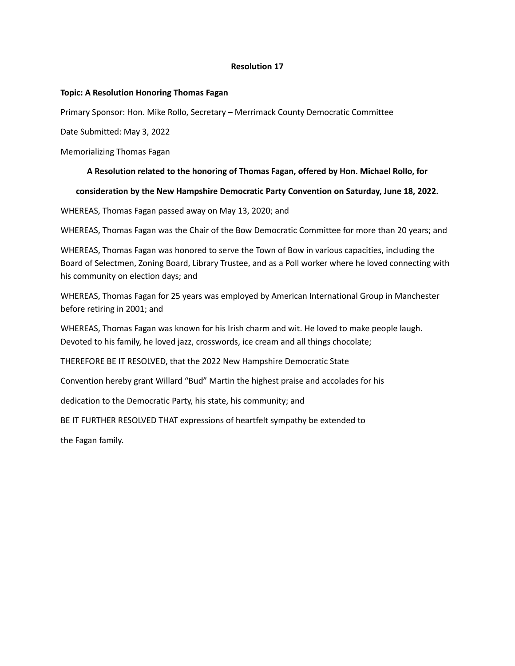## **Topic: A Resolution Honoring Thomas Fagan**

Primary Sponsor: Hon. Mike Rollo, Secretary – Merrimack County Democratic Committee

Date Submitted: May 3, 2022

Memorializing Thomas Fagan

## **A Resolution related to the honoring of Thomas Fagan, offered by Hon. Michael Rollo, for**

## **consideration by the New Hampshire Democratic Party Convention on Saturday, June 18, 2022.**

WHEREAS, Thomas Fagan passed away on May 13, 2020; and

WHEREAS, Thomas Fagan was the Chair of the Bow Democratic Committee for more than 20 years; and

WHEREAS, Thomas Fagan was honored to serve the Town of Bow in various capacities, including the Board of Selectmen, Zoning Board, Library Trustee, and as a Poll worker where he loved connecting with his community on election days; and

WHEREAS, Thomas Fagan for 25 years was employed by American International Group in Manchester before retiring in 2001; and

WHEREAS, Thomas Fagan was known for his Irish charm and wit. He loved to make people laugh. Devoted to his family, he loved jazz, crosswords, ice cream and all things chocolate;

THEREFORE BE IT RESOLVED, that the 2022 New Hampshire Democratic State

Convention hereby grant Willard "Bud" Martin the highest praise and accolades for his

dedication to the Democratic Party, his state, his community; and

BE IT FURTHER RESOLVED THAT expressions of heartfelt sympathy be extended to

the Fagan family.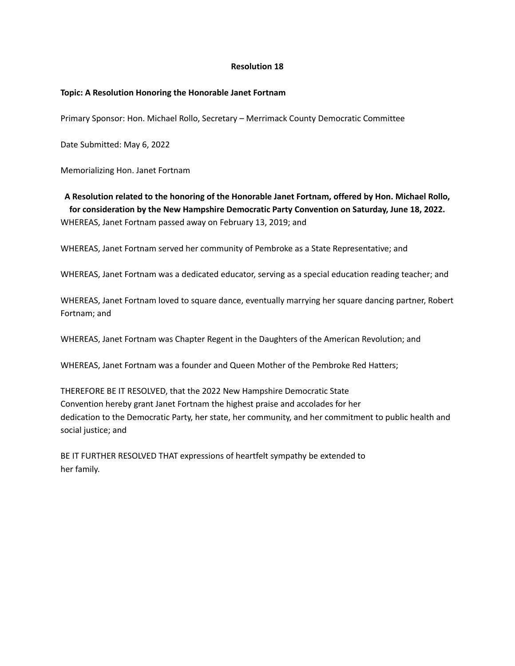## **Topic: A Resolution Honoring the Honorable Janet Fortnam**

Primary Sponsor: Hon. Michael Rollo, Secretary – Merrimack County Democratic Committee

Date Submitted: May 6, 2022

Memorializing Hon. Janet Fortnam

**A Resolution related to the honoring of the Honorable Janet Fortnam, offered by Hon. Michael Rollo, for consideration by the New Hampshire Democratic Party Convention on Saturday, June 18, 2022.** WHEREAS, Janet Fortnam passed away on February 13, 2019; and

WHEREAS, Janet Fortnam served her community of Pembroke as a State Representative; and

WHEREAS, Janet Fortnam was a dedicated educator, serving as a special education reading teacher; and

WHEREAS, Janet Fortnam loved to square dance, eventually marrying her square dancing partner, Robert Fortnam; and

WHEREAS, Janet Fortnam was Chapter Regent in the Daughters of the American Revolution; and

WHEREAS, Janet Fortnam was a founder and Queen Mother of the Pembroke Red Hatters;

THEREFORE BE IT RESOLVED, that the 2022 New Hampshire Democratic State Convention hereby grant Janet Fortnam the highest praise and accolades for her dedication to the Democratic Party, her state, her community, and her commitment to public health and social justice; and

BE IT FURTHER RESOLVED THAT expressions of heartfelt sympathy be extended to her family.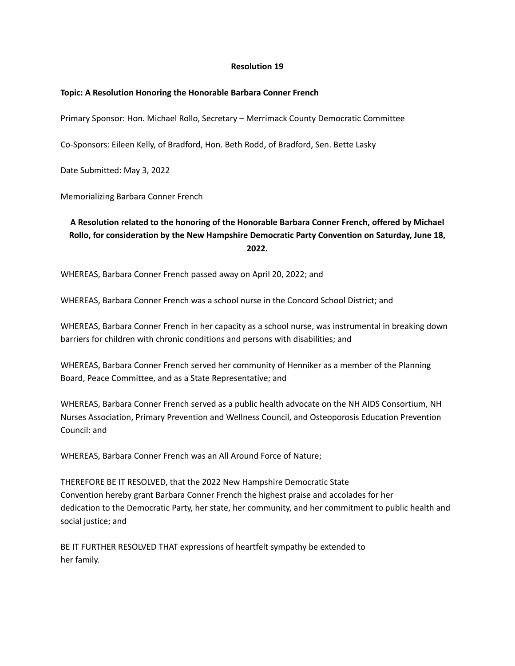## **Topic: A Resolution Honoring the Honorable Barbara Conner French**

Primary Sponsor: Hon. Michael Rollo, Secretary – Merrimack County Democratic Committee

Co-Sponsors: Eileen Kelly, of Bradford, Hon. Beth Rodd, of Bradford, Sen. Bette Lasky

Date Submitted: May 3, 2022

Memorializing Barbara Conner French

# **A Resolution related to the honoring of the Honorable Barbara Conner French, offered by Michael Rollo, for consideration by the New Hampshire Democratic Party Convention on Saturday, June 18, 2022.**

WHEREAS, Barbara Conner French passed away on April 20, 2022; and

WHEREAS, Barbara Conner French was a school nurse in the Concord School District; and

WHEREAS, Barbara Conner French in her capacity as a school nurse, was instrumental in breaking down barriers for children with chronic conditions and persons with disabilities; and

WHEREAS, Barbara Conner French served her community of Henniker as a member of the Planning Board, Peace Committee, and as a State Representative; and

WHEREAS, Barbara Conner French served as a public health advocate on the NH AIDS Consortium, NH Nurses Association, Primary Prevention and Wellness Council, and Osteoporosis Education Prevention Council: and

WHEREAS, Barbara Conner French was an All Around Force of Nature;

THEREFORE BE IT RESOLVED, that the 2022 New Hampshire Democratic State Convention hereby grant Barbara Conner French the highest praise and accolades for her dedication to the Democratic Party, her state, her community, and her commitment to public health and social justice; and

BE IT FURTHER RESOLVED THAT expressions of heartfelt sympathy be extended to her family.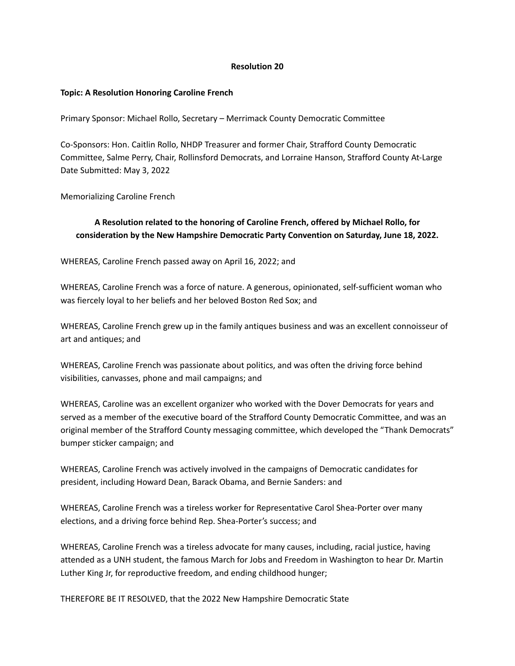## **Topic: A Resolution Honoring Caroline French**

Primary Sponsor: Michael Rollo, Secretary – Merrimack County Democratic Committee

Co-Sponsors: Hon. Caitlin Rollo, NHDP Treasurer and former Chair, Strafford County Democratic Committee, Salme Perry, Chair, Rollinsford Democrats, and Lorraine Hanson, Strafford County At-Large Date Submitted: May 3, 2022

Memorializing Caroline French

# **A Resolution related to the honoring of Caroline French, offered by Michael Rollo, for consideration by the New Hampshire Democratic Party Convention on Saturday, June 18, 2022.**

WHEREAS, Caroline French passed away on April 16, 2022; and

WHEREAS, Caroline French was a force of nature. A generous, opinionated, self-sufficient woman who was fiercely loyal to her beliefs and her beloved Boston Red Sox; and

WHEREAS, Caroline French grew up in the family antiques business and was an excellent connoisseur of art and antiques; and

WHEREAS, Caroline French was passionate about politics, and was often the driving force behind visibilities, canvasses, phone and mail campaigns; and

WHEREAS, Caroline was an excellent organizer who worked with the Dover Democrats for years and served as a member of the executive board of the Strafford County Democratic Committee, and was an original member of the Strafford County messaging committee, which developed the "Thank Democrats" bumper sticker campaign; and

WHEREAS, Caroline French was actively involved in the campaigns of Democratic candidates for president, including Howard Dean, Barack Obama, and Bernie Sanders: and

WHEREAS, Caroline French was a tireless worker for Representative Carol Shea-Porter over many elections, and a driving force behind Rep. Shea-Porter's success; and

WHEREAS, Caroline French was a tireless advocate for many causes, including, racial justice, having attended as a UNH student, the famous March for Jobs and Freedom in Washington to hear Dr. Martin Luther King Jr, for reproductive freedom, and ending childhood hunger;

THEREFORE BE IT RESOLVED, that the 2022 New Hampshire Democratic State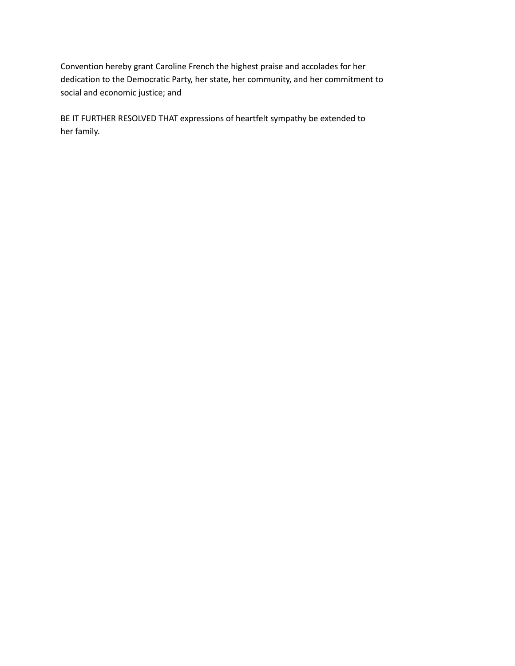Convention hereby grant Caroline French the highest praise and accolades for her dedication to the Democratic Party, her state, her community, and her commitment to social and economic justice; and

BE IT FURTHER RESOLVED THAT expressions of heartfelt sympathy be extended to her family.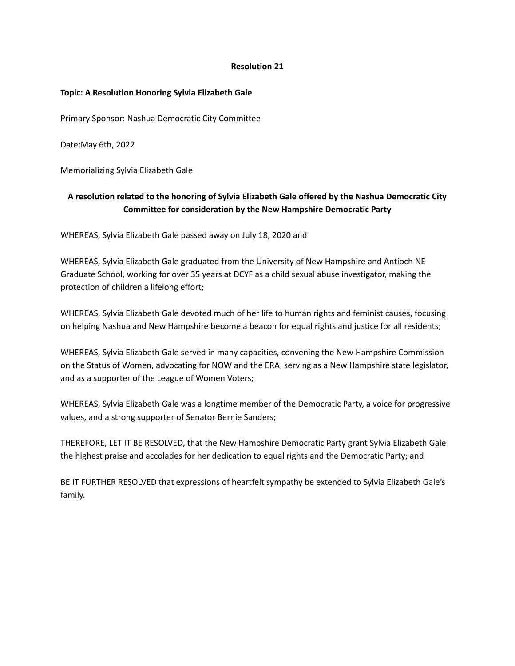## **Topic: A Resolution Honoring Sylvia Elizabeth Gale**

Primary Sponsor: Nashua Democratic City Committee

Date:May 6th, 2022

Memorializing Sylvia Elizabeth Gale

# **A resolution related to the honoring of Sylvia Elizabeth Gale offered by the Nashua Democratic City Committee for consideration by the New Hampshire Democratic Party**

WHEREAS, Sylvia Elizabeth Gale passed away on July 18, 2020 and

WHEREAS, Sylvia Elizabeth Gale graduated from the University of New Hampshire and Antioch NE Graduate School, working for over 35 years at DCYF as a child sexual abuse investigator, making the protection of children a lifelong effort;

WHEREAS, Sylvia Elizabeth Gale devoted much of her life to human rights and feminist causes, focusing on helping Nashua and New Hampshire become a beacon for equal rights and justice for all residents;

WHEREAS, Sylvia Elizabeth Gale served in many capacities, convening the New Hampshire Commission on the Status of Women, advocating for NOW and the ERA, serving as a New Hampshire state legislator, and as a supporter of the League of Women Voters;

WHEREAS, Sylvia Elizabeth Gale was a longtime member of the Democratic Party, a voice for progressive values, and a strong supporter of Senator Bernie Sanders;

THEREFORE, LET IT BE RESOLVED, that the New Hampshire Democratic Party grant Sylvia Elizabeth Gale the highest praise and accolades for her dedication to equal rights and the Democratic Party; and

BE IT FURTHER RESOLVED that expressions of heartfelt sympathy be extended to Sylvia Elizabeth Gale's family.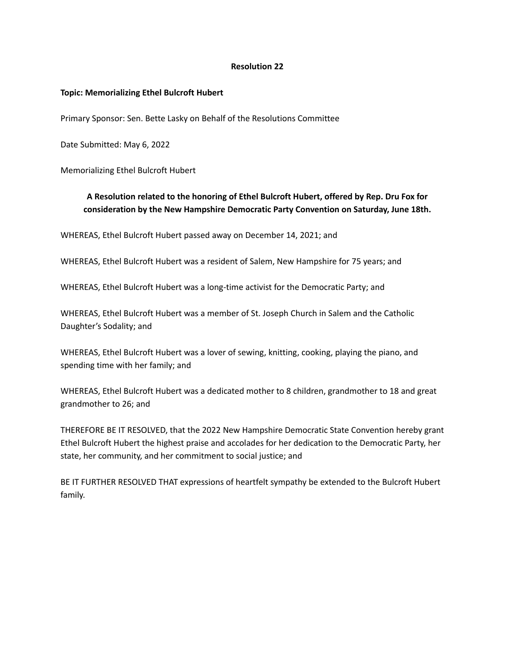## **Topic: Memorializing Ethel Bulcroft Hubert**

Primary Sponsor: Sen. Bette Lasky on Behalf of the Resolutions Committee

Date Submitted: May 6, 2022

Memorializing Ethel Bulcroft Hubert

# **A Resolution related to the honoring of Ethel Bulcroft Hubert, offered by Rep. Dru Fox for consideration by the New Hampshire Democratic Party Convention on Saturday, June 18th.**

WHEREAS, Ethel Bulcroft Hubert passed away on December 14, 2021; and

WHEREAS, Ethel Bulcroft Hubert was a resident of Salem, New Hampshire for 75 years; and

WHEREAS, Ethel Bulcroft Hubert was a long-time activist for the Democratic Party; and

WHEREAS, Ethel Bulcroft Hubert was a member of St. Joseph Church in Salem and the Catholic Daughter's Sodality; and

WHEREAS, Ethel Bulcroft Hubert was a lover of sewing, knitting, cooking, playing the piano, and spending time with her family; and

WHEREAS, Ethel Bulcroft Hubert was a dedicated mother to 8 children, grandmother to 18 and great grandmother to 26; and

THEREFORE BE IT RESOLVED, that the 2022 New Hampshire Democratic State Convention hereby grant Ethel Bulcroft Hubert the highest praise and accolades for her dedication to the Democratic Party, her state, her community, and her commitment to social justice; and

BE IT FURTHER RESOLVED THAT expressions of heartfelt sympathy be extended to the Bulcroft Hubert family.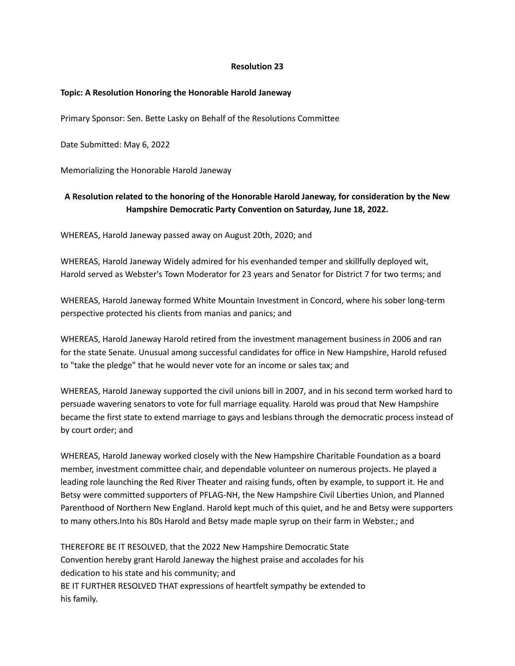## **Topic: A Resolution Honoring the Honorable Harold Janeway**

Primary Sponsor: Sen. Bette Lasky on Behalf of the Resolutions Committee

Date Submitted: May 6, 2022

Memorializing the Honorable Harold Janeway

# **A Resolution related to the honoring of the Honorable Harold Janeway, for consideration by the New Hampshire Democratic Party Convention on Saturday, June 18, 2022.**

WHEREAS, Harold Janeway passed away on August 20th, 2020; and

WHEREAS, Harold Janeway Widely admired for his evenhanded temper and skillfully deployed wit, Harold served as Webster's Town Moderator for 23 years and Senator for District 7 for two terms; and

WHEREAS, Harold Janeway formed White Mountain Investment in Concord, where his sober long-term perspective protected his clients from manias and panics; and

WHEREAS, Harold Janeway Harold retired from the investment management business in 2006 and ran for the state Senate. Unusual among successful candidates for office in New Hampshire, Harold refused to "take the pledge" that he would never vote for an income or sales tax; and

WHEREAS, Harold Janeway supported the civil unions bill in 2007, and in his second term worked hard to persuade wavering senators to vote for full marriage equality. Harold was proud that New Hampshire became the first state to extend marriage to gays and lesbians through the democratic process instead of by court order; and

WHEREAS, Harold Janeway worked closely with the New Hampshire Charitable Foundation as a board member, investment committee chair, and dependable volunteer on numerous projects. He played a leading role launching the Red River Theater and raising funds, often by example, to support it. He and Betsy were committed supporters of PFLAG-NH, the New Hampshire Civil Liberties Union, and Planned Parenthood of Northern New England. Harold kept much of this quiet, and he and Betsy were supporters to many others.Into his 80s Harold and Betsy made maple syrup on their farm in Webster.; and

THEREFORE BE IT RESOLVED, that the 2022 New Hampshire Democratic State Convention hereby grant Harold Janeway the highest praise and accolades for his dedication to his state and his community; and BE IT FURTHER RESOLVED THAT expressions of heartfelt sympathy be extended to his family.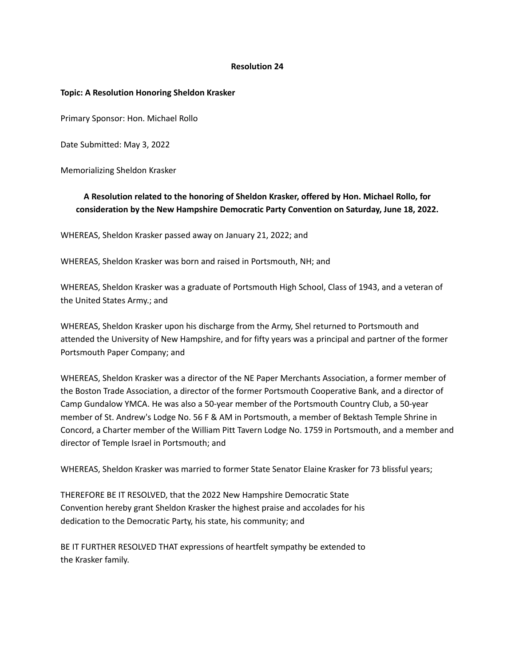#### **Topic: A Resolution Honoring Sheldon Krasker**

Primary Sponsor: Hon. Michael Rollo

Date Submitted: May 3, 2022

Memorializing Sheldon Krasker

# **A Resolution related to the honoring of Sheldon Krasker, offered by Hon. Michael Rollo, for consideration by the New Hampshire Democratic Party Convention on Saturday, June 18, 2022.**

WHEREAS, Sheldon Krasker passed away on January 21, 2022; and

WHEREAS, Sheldon Krasker was born and raised in Portsmouth, NH; and

WHEREAS, Sheldon Krasker was a graduate of Portsmouth High School, Class of 1943, and a veteran of the United States Army.; and

WHEREAS, Sheldon Krasker upon his discharge from the Army, Shel returned to Portsmouth and attended the University of New Hampshire, and for fifty years was a principal and partner of the former Portsmouth Paper Company; and

WHEREAS, Sheldon Krasker was a director of the NE Paper Merchants Association, a former member of the Boston Trade Association, a director of the former Portsmouth Cooperative Bank, and a director of Camp Gundalow YMCA. He was also a 50-year member of the Portsmouth Country Club, a 50-year member of St. Andrew's Lodge No. 56 F & AM in Portsmouth, a member of Bektash Temple Shrine in Concord, a Charter member of the William Pitt Tavern Lodge No. 1759 in Portsmouth, and a member and director of Temple Israel in Portsmouth; and

WHEREAS, Sheldon Krasker was married to former State Senator Elaine Krasker for 73 blissful years;

THEREFORE BE IT RESOLVED, that the 2022 New Hampshire Democratic State Convention hereby grant Sheldon Krasker the highest praise and accolades for his dedication to the Democratic Party, his state, his community; and

BE IT FURTHER RESOLVED THAT expressions of heartfelt sympathy be extended to the Krasker family.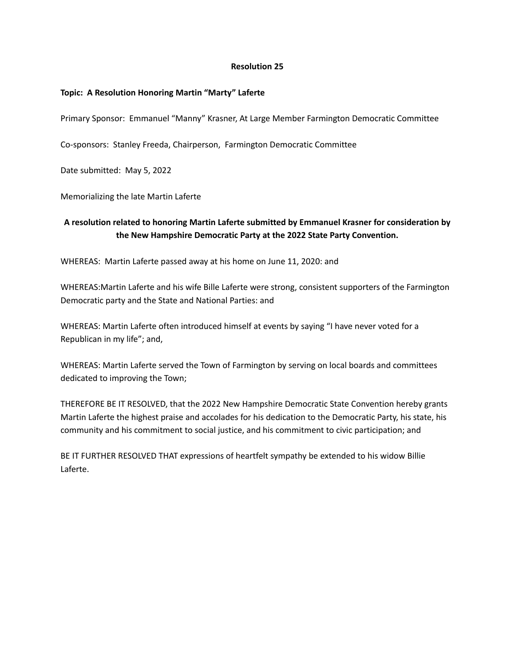# **Topic: A Resolution Honoring Martin "Marty" Laferte**

Primary Sponsor: Emmanuel "Manny" Krasner, At Large Member Farmington Democratic Committee

Co-sponsors: Stanley Freeda, Chairperson, Farmington Democratic Committee

Date submitted: May 5, 2022

Memorializing the late Martin Laferte

# **A resolution related to honoring Martin Laferte submitted by Emmanuel Krasner for consideration by the New Hampshire Democratic Party at the 2022 State Party Convention.**

WHEREAS: Martin Laferte passed away at his home on June 11, 2020: and

WHEREAS:Martin Laferte and his wife Bille Laferte were strong, consistent supporters of the Farmington Democratic party and the State and National Parties: and

WHEREAS: Martin Laferte often introduced himself at events by saying "I have never voted for a Republican in my life"; and,

WHEREAS: Martin Laferte served the Town of Farmington by serving on local boards and committees dedicated to improving the Town;

THEREFORE BE IT RESOLVED, that the 2022 New Hampshire Democratic State Convention hereby grants Martin Laferte the highest praise and accolades for his dedication to the Democratic Party, his state, his community and his commitment to social justice, and his commitment to civic participation; and

BE IT FURTHER RESOLVED THAT expressions of heartfelt sympathy be extended to his widow Billie Laferte.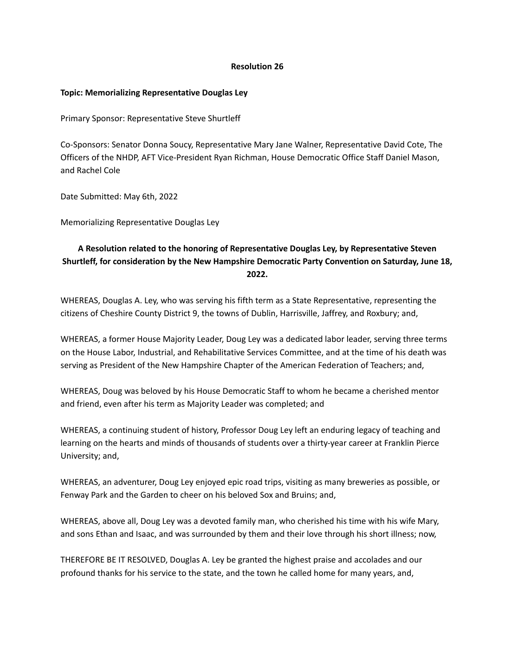## **Topic: Memorializing Representative Douglas Ley**

Primary Sponsor: Representative Steve Shurtleff

Co-Sponsors: Senator Donna Soucy, Representative Mary Jane Walner, Representative David Cote, The Officers of the NHDP, AFT Vice-President Ryan Richman, House Democratic Office Staff Daniel Mason, and Rachel Cole

Date Submitted: May 6th, 2022

Memorializing Representative Douglas Ley

# **A Resolution related to the honoring of Representative Douglas Ley, by Representative Steven Shurtleff, for consideration by the New Hampshire Democratic Party Convention on Saturday, June 18, 2022.**

WHEREAS, Douglas A. Ley, who was serving his fifth term as a State Representative, representing the citizens of Cheshire County District 9, the towns of Dublin, Harrisville, Jaffrey, and Roxbury; and,

WHEREAS, a former House Majority Leader, Doug Ley was a dedicated labor leader, serving three terms on the House Labor, Industrial, and Rehabilitative Services Committee, and at the time of his death was serving as President of the New Hampshire Chapter of the American Federation of Teachers; and,

WHEREAS, Doug was beloved by his House Democratic Staff to whom he became a cherished mentor and friend, even after his term as Majority Leader was completed; and

WHEREAS, a continuing student of history, Professor Doug Ley left an enduring legacy of teaching and learning on the hearts and minds of thousands of students over a thirty-year career at Franklin Pierce University; and,

WHEREAS, an adventurer, Doug Ley enjoyed epic road trips, visiting as many breweries as possible, or Fenway Park and the Garden to cheer on his beloved Sox and Bruins; and,

WHEREAS, above all, Doug Ley was a devoted family man, who cherished his time with his wife Mary, and sons Ethan and Isaac, and was surrounded by them and their love through his short illness; now,

THEREFORE BE IT RESOLVED, Douglas A. Ley be granted the highest praise and accolades and our profound thanks for his service to the state, and the town he called home for many years, and,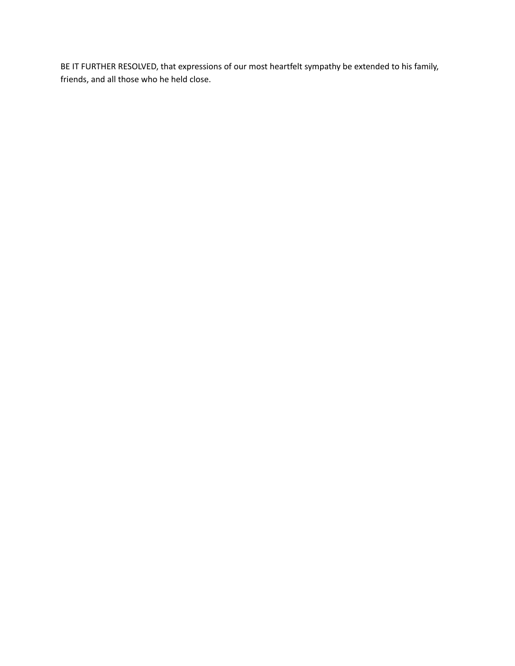BE IT FURTHER RESOLVED, that expressions of our most heartfelt sympathy be extended to his family, friends, and all those who he held close.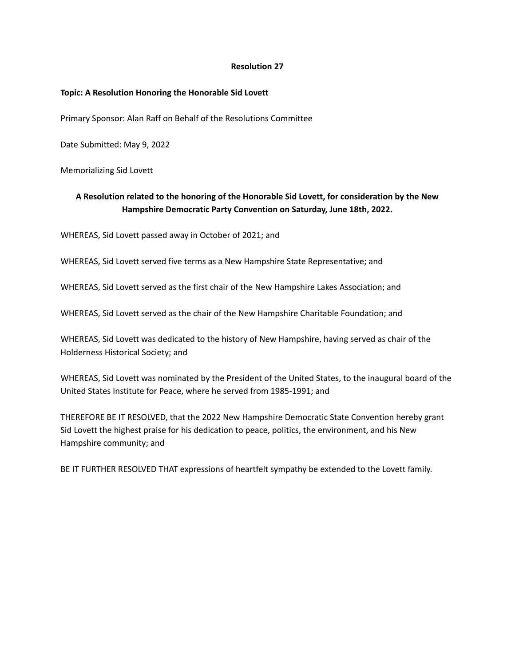## **Topic: A Resolution Honoring the Honorable Sid Lovett**

Primary Sponsor: Alan Raff on Behalf of the Resolutions Committee

Date Submitted: May 9, 2022

Memorializing Sid Lovett

# **A Resolution related to the honoring of the Honorable Sid Lovett, for consideration by the New Hampshire Democratic Party Convention on Saturday, June 18th, 2022.**

WHEREAS, Sid Lovett passed away in October of 2021; and

WHEREAS, Sid Lovett served five terms as a New Hampshire State Representative; and

WHEREAS, Sid Lovett served as the first chair of the New Hampshire Lakes Association; and

WHEREAS, Sid Lovett served as the chair of the New Hampshire Charitable Foundation; and

WHEREAS, Sid Lovett was dedicated to the history of New Hampshire, having served as chair of the Holderness Historical Society; and

WHEREAS, Sid Lovett was nominated by the President of the United States, to the inaugural board of the United States Institute for Peace, where he served from 1985-1991; and

THEREFORE BE IT RESOLVED, that the 2022 New Hampshire Democratic State Convention hereby grant Sid Lovett the highest praise for his dedication to peace, politics, the environment, and his New Hampshire community; and

BE IT FURTHER RESOLVED THAT expressions of heartfelt sympathy be extended to the Lovett family.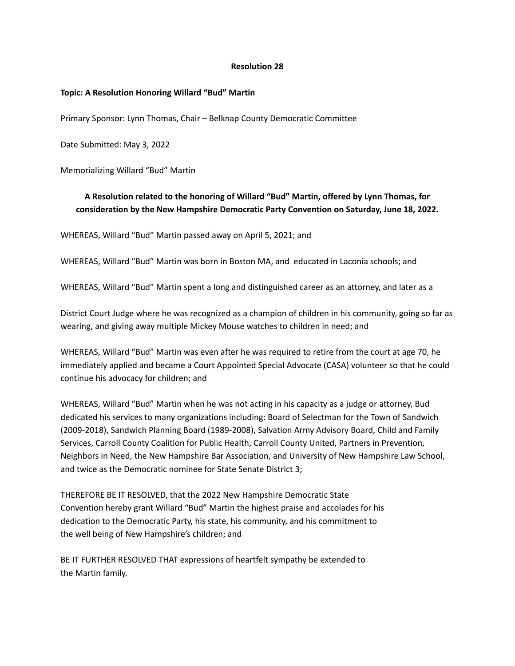## **Topic: A Resolution Honoring Willard "Bud" Martin**

Primary Sponsor: Lynn Thomas, Chair – Belknap County Democratic Committee

Date Submitted: May 3, 2022

Memorializing Willard "Bud" Martin

# **A Resolution related to the honoring of Willard "Bud" Martin, offered by Lynn Thomas, for consideration by the New Hampshire Democratic Party Convention on Saturday, June 18, 2022.**

WHEREAS, Willard "Bud" Martin passed away on April 5, 2021; and

WHEREAS, Willard "Bud" Martin was born in Boston MA, and educated in Laconia schools; and

WHEREAS, Willard "Bud" Martin spent a long and distinguished career as an attorney, and later as a

District Court Judge where he was recognized as a champion of children in his community, going so far as wearing, and giving away multiple Mickey Mouse watches to children in need; and

WHEREAS, Willard "Bud" Martin was even after he was required to retire from the court at age 70, he immediately applied and became a Court Appointed Special Advocate (CASA) volunteer so that he could continue his advocacy for children; and

WHEREAS, Willard "Bud" Martin when he was not acting in his capacity as a judge or attorney, Bud dedicated his services to many organizations including: Board of Selectman for the Town of Sandwich (2009-2018), Sandwich Planning Board (1989-2008), Salvation Army Advisory Board, Child and Family Services, Carroll County Coalition for Public Health, Carroll County United, Partners in Prevention, Neighbors in Need, the New Hampshire Bar Association, and University of New Hampshire Law School, and twice as the Democratic nominee for State Senate District 3;

THEREFORE BE IT RESOLVED, that the 2022 New Hampshire Democratic State Convention hereby grant Willard "Bud" Martin the highest praise and accolades for his dedication to the Democratic Party, his state, his community, and his commitment to the well being of New Hampshire's children; and

BE IT FURTHER RESOLVED THAT expressions of heartfelt sympathy be extended to the Martin family.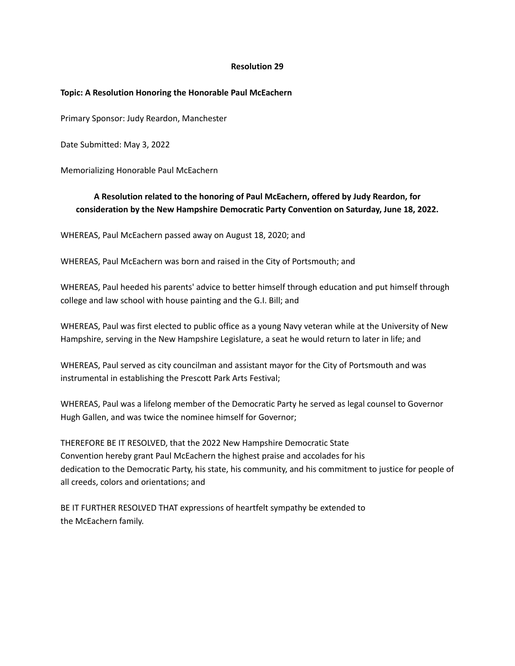## **Topic: A Resolution Honoring the Honorable Paul McEachern**

Primary Sponsor: Judy Reardon, Manchester

Date Submitted: May 3, 2022

Memorializing Honorable Paul McEachern

# **A Resolution related to the honoring of Paul McEachern, offered by Judy Reardon, for consideration by the New Hampshire Democratic Party Convention on Saturday, June 18, 2022.**

WHEREAS, Paul McEachern passed away on August 18, 2020; and

WHEREAS, Paul McEachern was born and raised in the City of Portsmouth; and

WHEREAS, Paul heeded his parents' advice to better himself through education and put himself through college and law school with house painting and the G.I. Bill; and

WHEREAS, Paul was first elected to public office as a young Navy veteran while at the University of New Hampshire, serving in the New Hampshire Legislature, a seat he would return to later in life; and

WHEREAS, Paul served as city councilman and assistant mayor for the City of Portsmouth and was instrumental in establishing the Prescott Park Arts Festival;

WHEREAS, Paul was a lifelong member of the Democratic Party he served as legal counsel to Governor Hugh Gallen, and was twice the nominee himself for Governor;

THEREFORE BE IT RESOLVED, that the 2022 New Hampshire Democratic State Convention hereby grant Paul McEachern the highest praise and accolades for his dedication to the Democratic Party, his state, his community, and his commitment to justice for people of all creeds, colors and orientations; and

BE IT FURTHER RESOLVED THAT expressions of heartfelt sympathy be extended to the McEachern family.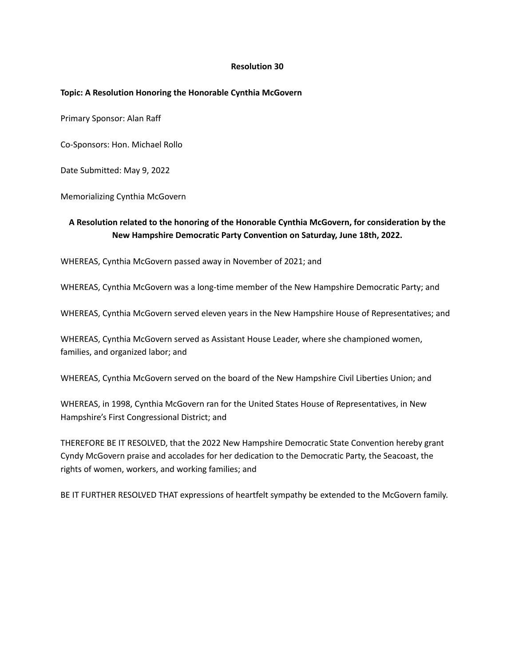## **Topic: A Resolution Honoring the Honorable Cynthia McGovern**

Primary Sponsor: Alan Raff

Co-Sponsors: Hon. Michael Rollo

Date Submitted: May 9, 2022

Memorializing Cynthia McGovern

# **A Resolution related to the honoring of the Honorable Cynthia McGovern, for consideration by the New Hampshire Democratic Party Convention on Saturday, June 18th, 2022.**

WHEREAS, Cynthia McGovern passed away in November of 2021; and

WHEREAS, Cynthia McGovern was a long-time member of the New Hampshire Democratic Party; and

WHEREAS, Cynthia McGovern served eleven years in the New Hampshire House of Representatives; and

WHEREAS, Cynthia McGovern served as Assistant House Leader, where she championed women, families, and organized labor; and

WHEREAS, Cynthia McGovern served on the board of the New Hampshire Civil Liberties Union; and

WHEREAS, in 1998, Cynthia McGovern ran for the United States House of Representatives, in New Hampshire's First Congressional District; and

THEREFORE BE IT RESOLVED, that the 2022 New Hampshire Democratic State Convention hereby grant Cyndy McGovern praise and accolades for her dedication to the Democratic Party, the Seacoast, the rights of women, workers, and working families; and

BE IT FURTHER RESOLVED THAT expressions of heartfelt sympathy be extended to the McGovern family.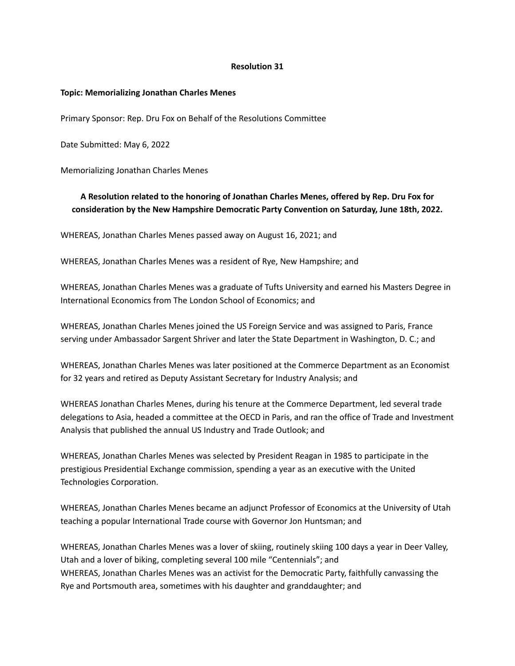#### **Topic: Memorializing Jonathan Charles Menes**

Primary Sponsor: Rep. Dru Fox on Behalf of the Resolutions Committee

Date Submitted: May 6, 2022

Memorializing Jonathan Charles Menes

# **A Resolution related to the honoring of Jonathan Charles Menes, offered by Rep. Dru Fox for consideration by the New Hampshire Democratic Party Convention on Saturday, June 18th, 2022.**

WHEREAS, Jonathan Charles Menes passed away on August 16, 2021; and

WHEREAS, Jonathan Charles Menes was a resident of Rye, New Hampshire; and

WHEREAS, Jonathan Charles Menes was a graduate of Tufts University and earned his Masters Degree in International Economics from The London School of Economics; and

WHEREAS, Jonathan Charles Menes joined the US Foreign Service and was assigned to Paris, France serving under Ambassador Sargent Shriver and later the State Department in Washington, D. C.; and

WHEREAS, Jonathan Charles Menes was later positioned at the Commerce Department as an Economist for 32 years and retired as Deputy Assistant Secretary for Industry Analysis; and

WHEREAS Jonathan Charles Menes, during his tenure at the Commerce Department, led several trade delegations to Asia, headed a committee at the OECD in Paris, and ran the office of Trade and Investment Analysis that published the annual US Industry and Trade Outlook; and

WHEREAS, Jonathan Charles Menes was selected by President Reagan in 1985 to participate in the prestigious Presidential Exchange commission, spending a year as an executive with the United Technologies Corporation.

WHEREAS, Jonathan Charles Menes became an adjunct Professor of Economics at the University of Utah teaching a popular International Trade course with Governor Jon Huntsman; and

WHEREAS, Jonathan Charles Menes was a lover of skiing, routinely skiing 100 days a year in Deer Valley, Utah and a lover of biking, completing several 100 mile "Centennials"; and WHEREAS, Jonathan Charles Menes was an activist for the Democratic Party, faithfully canvassing the Rye and Portsmouth area, sometimes with his daughter and granddaughter; and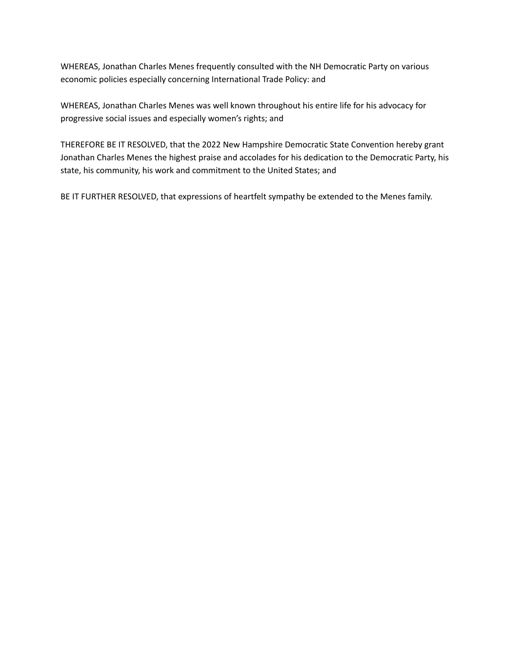WHEREAS, Jonathan Charles Menes frequently consulted with the NH Democratic Party on various economic policies especially concerning International Trade Policy: and

WHEREAS, Jonathan Charles Menes was well known throughout his entire life for his advocacy for progressive social issues and especially women's rights; and

THEREFORE BE IT RESOLVED, that the 2022 New Hampshire Democratic State Convention hereby grant Jonathan Charles Menes the highest praise and accolades for his dedication to the Democratic Party, his state, his community, his work and commitment to the United States; and

BE IT FURTHER RESOLVED, that expressions of heartfelt sympathy be extended to the Menes family.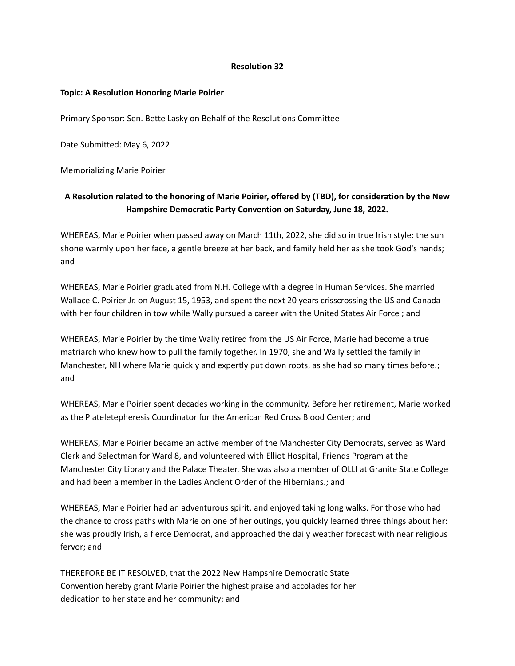## **Topic: A Resolution Honoring Marie Poirier**

Primary Sponsor: Sen. Bette Lasky on Behalf of the Resolutions Committee

Date Submitted: May 6, 2022

Memorializing Marie Poirier

# **A Resolution related to the honoring of Marie Poirier, offered by (TBD), for consideration by the New Hampshire Democratic Party Convention on Saturday, June 18, 2022.**

WHEREAS, Marie Poirier when passed away on March 11th, 2022, she did so in true Irish style: the sun shone warmly upon her face, a gentle breeze at her back, and family held her as she took God's hands; and

WHEREAS, Marie Poirier graduated from N.H. College with a degree in Human Services. She married Wallace C. Poirier Jr. on August 15, 1953, and spent the next 20 years crisscrossing the US and Canada with her four children in tow while Wally pursued a career with the United States Air Force ; and

WHEREAS, Marie Poirier by the time Wally retired from the US Air Force, Marie had become a true matriarch who knew how to pull the family together. In 1970, she and Wally settled the family in Manchester, NH where Marie quickly and expertly put down roots, as she had so many times before.; and

WHEREAS, Marie Poirier spent decades working in the community. Before her retirement, Marie worked as the Plateletepheresis Coordinator for the American Red Cross Blood Center; and

WHEREAS, Marie Poirier became an active member of the Manchester City Democrats, served as Ward Clerk and Selectman for Ward 8, and volunteered with Elliot Hospital, Friends Program at the Manchester City Library and the Palace Theater. She was also a member of OLLI at Granite State College and had been a member in the Ladies Ancient Order of the Hibernians.; and

WHEREAS, Marie Poirier had an adventurous spirit, and enjoyed taking long walks. For those who had the chance to cross paths with Marie on one of her outings, you quickly learned three things about her: she was proudly Irish, a fierce Democrat, and approached the daily weather forecast with near religious fervor; and

THEREFORE BE IT RESOLVED, that the 2022 New Hampshire Democratic State Convention hereby grant Marie Poirier the highest praise and accolades for her dedication to her state and her community; and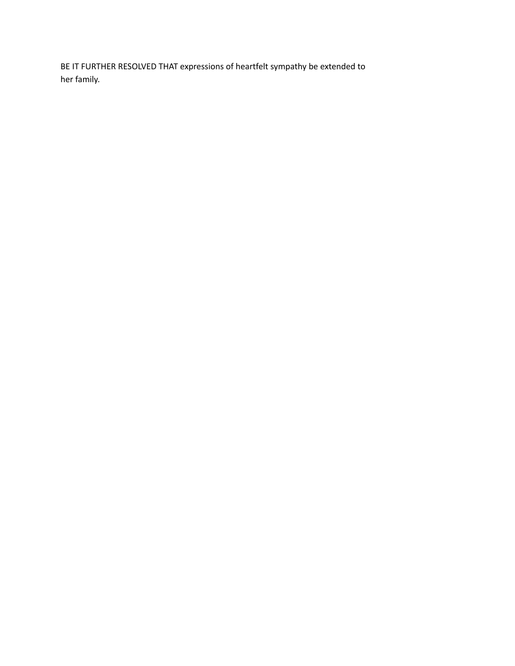BE IT FURTHER RESOLVED THAT expressions of heartfelt sympathy be extended to her family.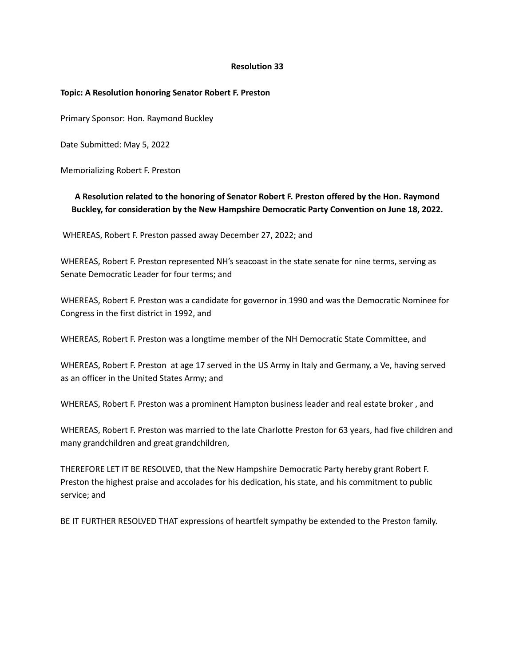## **Topic: A Resolution honoring Senator Robert F. Preston**

Primary Sponsor: Hon. Raymond Buckley

Date Submitted: May 5, 2022

Memorializing Robert F. Preston

# **A Resolution related to the honoring of Senator Robert F. Preston offered by the Hon. Raymond Buckley, for consideration by the New Hampshire Democratic Party Convention on June 18, 2022.**

WHEREAS, Robert F. Preston passed away December 27, 2022; and

WHEREAS, Robert F. Preston represented NH's seacoast in the state senate for nine terms, serving as Senate Democratic Leader for four terms; and

WHEREAS, Robert F. Preston was a candidate for governor in 1990 and was the Democratic Nominee for Congress in the first district in 1992, and

WHEREAS, Robert F. Preston was a longtime member of the NH Democratic State Committee, and

WHEREAS, Robert F. Preston at age 17 served in the US Army in Italy and Germany, a Ve, having served as an officer in the United States Army; and

WHEREAS, Robert F. Preston was a prominent Hampton business leader and real estate broker , and

WHEREAS, Robert F. Preston was married to the late Charlotte Preston for 63 years, had five children and many grandchildren and great grandchildren,

THEREFORE LET IT BE RESOLVED, that the New Hampshire Democratic Party hereby grant Robert F. Preston the highest praise and accolades for his dedication, his state, and his commitment to public service; and

BE IT FURTHER RESOLVED THAT expressions of heartfelt sympathy be extended to the Preston family.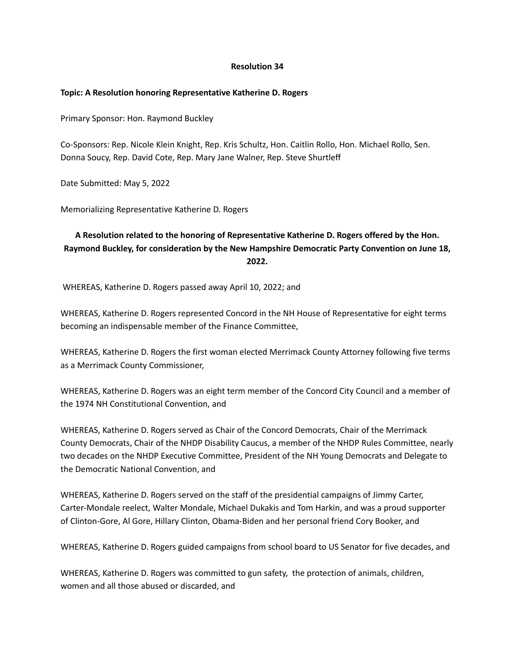## **Topic: A Resolution honoring Representative Katherine D. Rogers**

Primary Sponsor: Hon. Raymond Buckley

Co-Sponsors: Rep. Nicole Klein Knight, Rep. Kris Schultz, Hon. Caitlin Rollo, Hon. Michael Rollo, Sen. Donna Soucy, Rep. David Cote, Rep. Mary Jane Walner, Rep. Steve Shurtleff

Date Submitted: May 5, 2022

Memorializing Representative Katherine D. Rogers

# **A Resolution related to the honoring of Representative Katherine D. Rogers offered by the Hon. Raymond Buckley, for consideration by the New Hampshire Democratic Party Convention on June 18, 2022.**

WHEREAS, Katherine D. Rogers passed away April 10, 2022; and

WHEREAS, Katherine D. Rogers represented Concord in the NH House of Representative for eight terms becoming an indispensable member of the Finance Committee,

WHEREAS, Katherine D. Rogers the first woman elected Merrimack County Attorney following five terms as a Merrimack County Commissioner,

WHEREAS, Katherine D. Rogers was an eight term member of the Concord City Council and a member of the 1974 NH Constitutional Convention, and

WHEREAS, Katherine D. Rogers served as Chair of the Concord Democrats, Chair of the Merrimack County Democrats, Chair of the NHDP Disability Caucus, a member of the NHDP Rules Committee, nearly two decades on the NHDP Executive Committee, President of the NH Young Democrats and Delegate to the Democratic National Convention, and

WHEREAS, Katherine D. Rogers served on the staff of the presidential campaigns of Jimmy Carter, Carter-Mondale reelect, Walter Mondale, Michael Dukakis and Tom Harkin, and was a proud supporter of Clinton-Gore, Al Gore, Hillary Clinton, Obama-Biden and her personal friend Cory Booker, and

WHEREAS, Katherine D. Rogers guided campaigns from school board to US Senator for five decades, and

WHEREAS, Katherine D. Rogers was committed to gun safety, the protection of animals, children, women and all those abused or discarded, and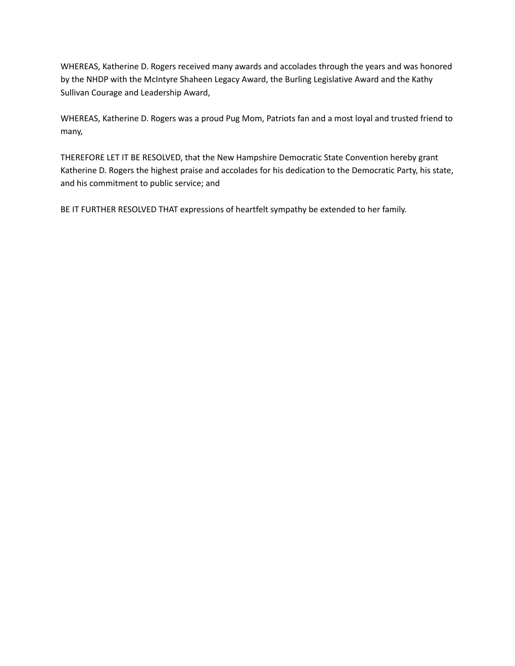WHEREAS, Katherine D. Rogers received many awards and accolades through the years and was honored by the NHDP with the McIntyre Shaheen Legacy Award, the Burling Legislative Award and the Kathy Sullivan Courage and Leadership Award,

WHEREAS, Katherine D. Rogers was a proud Pug Mom, Patriots fan and a most loyal and trusted friend to many,

THEREFORE LET IT BE RESOLVED, that the New Hampshire Democratic State Convention hereby grant Katherine D. Rogers the highest praise and accolades for his dedication to the Democratic Party, his state, and his commitment to public service; and

BE IT FURTHER RESOLVED THAT expressions of heartfelt sympathy be extended to her family.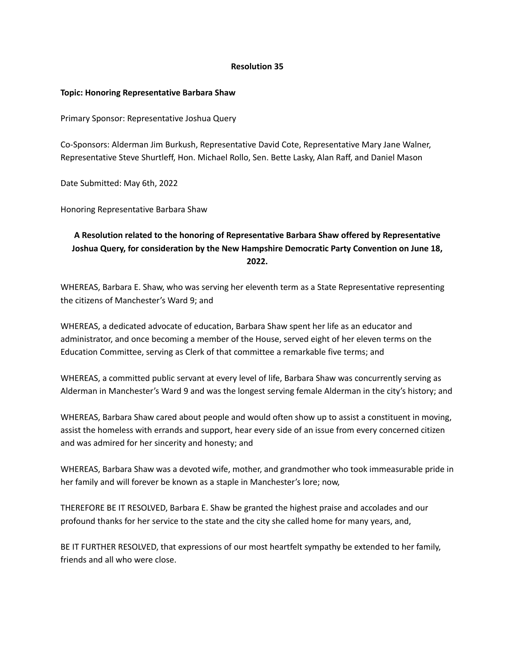## **Topic: Honoring Representative Barbara Shaw**

Primary Sponsor: Representative Joshua Query

Co-Sponsors: Alderman Jim Burkush, Representative David Cote, Representative Mary Jane Walner, Representative Steve Shurtleff, Hon. Michael Rollo, Sen. Bette Lasky, Alan Raff, and Daniel Mason

Date Submitted: May 6th, 2022

Honoring Representative Barbara Shaw

# **A Resolution related to the honoring of Representative Barbara Shaw offered by Representative Joshua Query, for consideration by the New Hampshire Democratic Party Convention on June 18, 2022.**

WHEREAS, Barbara E. Shaw, who was serving her eleventh term as a State Representative representing the citizens of Manchester's Ward 9; and

WHEREAS, a dedicated advocate of education, Barbara Shaw spent her life as an educator and administrator, and once becoming a member of the House, served eight of her eleven terms on the Education Committee, serving as Clerk of that committee a remarkable five terms; and

WHEREAS, a committed public servant at every level of life, Barbara Shaw was concurrently serving as Alderman in Manchester's Ward 9 and was the longest serving female Alderman in the city's history; and

WHEREAS, Barbara Shaw cared about people and would often show up to assist a constituent in moving, assist the homeless with errands and support, hear every side of an issue from every concerned citizen and was admired for her sincerity and honesty; and

WHEREAS, Barbara Shaw was a devoted wife, mother, and grandmother who took immeasurable pride in her family and will forever be known as a staple in Manchester's lore; now,

THEREFORE BE IT RESOLVED, Barbara E. Shaw be granted the highest praise and accolades and our profound thanks for her service to the state and the city she called home for many years, and,

BE IT FURTHER RESOLVED, that expressions of our most heartfelt sympathy be extended to her family, friends and all who were close.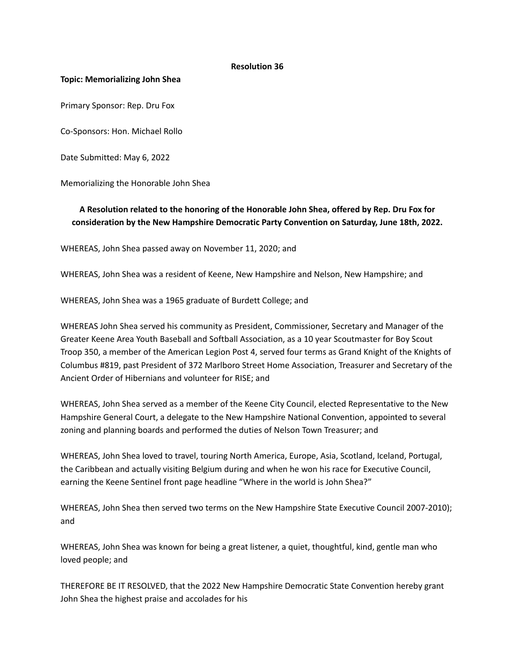#### **Topic: Memorializing John Shea**

Primary Sponsor: Rep. Dru Fox

Co-Sponsors: Hon. Michael Rollo

Date Submitted: May 6, 2022

Memorializing the Honorable John Shea

# **A Resolution related to the honoring of the Honorable John Shea, offered by Rep. Dru Fox for consideration by the New Hampshire Democratic Party Convention on Saturday, June 18th, 2022.**

WHEREAS, John Shea passed away on November 11, 2020; and

WHEREAS, John Shea was a resident of Keene, New Hampshire and Nelson, New Hampshire; and

WHEREAS, John Shea was a 1965 graduate of Burdett College; and

WHEREAS John Shea served his community as President, Commissioner, Secretary and Manager of the Greater Keene Area Youth Baseball and Softball Association, as a 10 year Scoutmaster for Boy Scout Troop 350, a member of the American Legion Post 4, served four terms as Grand Knight of the Knights of Columbus #819, past President of 372 Marlboro Street Home Association, Treasurer and Secretary of the Ancient Order of Hibernians and volunteer for RISE; and

WHEREAS, John Shea served as a member of the Keene City Council, elected Representative to the New Hampshire General Court, a delegate to the New Hampshire National Convention, appointed to several zoning and planning boards and performed the duties of Nelson Town Treasurer; and

WHEREAS, John Shea loved to travel, touring North America, Europe, Asia, Scotland, Iceland, Portugal, the Caribbean and actually visiting Belgium during and when he won his race for Executive Council, earning the Keene Sentinel front page headline "Where in the world is John Shea?"

WHEREAS, John Shea then served two terms on the New Hampshire State Executive Council 2007-2010); and

WHEREAS, John Shea was known for being a great listener, a quiet, thoughtful, kind, gentle man who loved people; and

THEREFORE BE IT RESOLVED, that the 2022 New Hampshire Democratic State Convention hereby grant John Shea the highest praise and accolades for his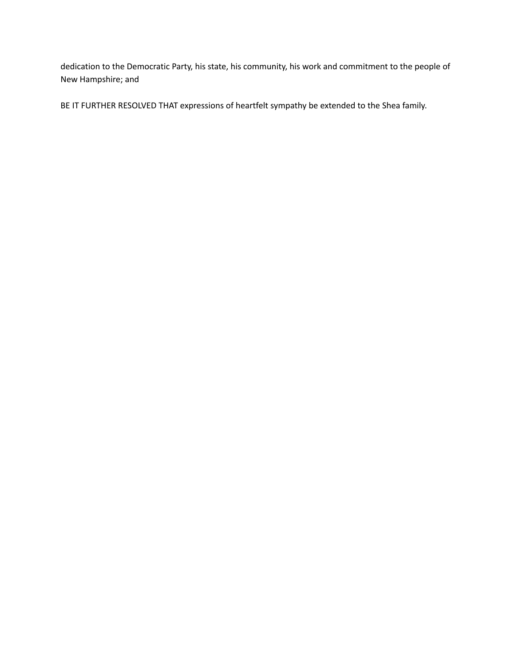dedication to the Democratic Party, his state, his community, his work and commitment to the people of New Hampshire; and

BE IT FURTHER RESOLVED THAT expressions of heartfelt sympathy be extended to the Shea family.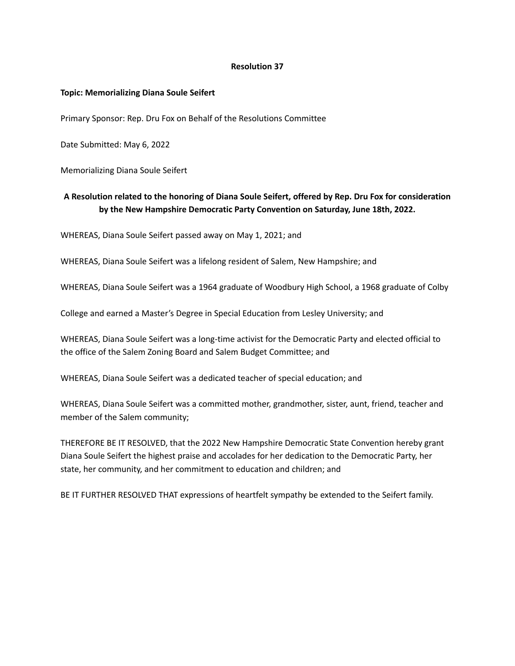#### **Topic: Memorializing Diana Soule Seifert**

Primary Sponsor: Rep. Dru Fox on Behalf of the Resolutions Committee

Date Submitted: May 6, 2022

Memorializing Diana Soule Seifert

# **A Resolution related to the honoring of Diana Soule Seifert, offered by Rep. Dru Fox for consideration by the New Hampshire Democratic Party Convention on Saturday, June 18th, 2022.**

WHEREAS, Diana Soule Seifert passed away on May 1, 2021; and

WHEREAS, Diana Soule Seifert was a lifelong resident of Salem, New Hampshire; and

WHEREAS, Diana Soule Seifert was a 1964 graduate of Woodbury High School, a 1968 graduate of Colby

College and earned a Master's Degree in Special Education from Lesley University; and

WHEREAS, Diana Soule Seifert was a long-time activist for the Democratic Party and elected official to the office of the Salem Zoning Board and Salem Budget Committee; and

WHEREAS, Diana Soule Seifert was a dedicated teacher of special education; and

WHEREAS, Diana Soule Seifert was a committed mother, grandmother, sister, aunt, friend, teacher and member of the Salem community;

THEREFORE BE IT RESOLVED, that the 2022 New Hampshire Democratic State Convention hereby grant Diana Soule Seifert the highest praise and accolades for her dedication to the Democratic Party, her state, her community, and her commitment to education and children; and

BE IT FURTHER RESOLVED THAT expressions of heartfelt sympathy be extended to the Seifert family.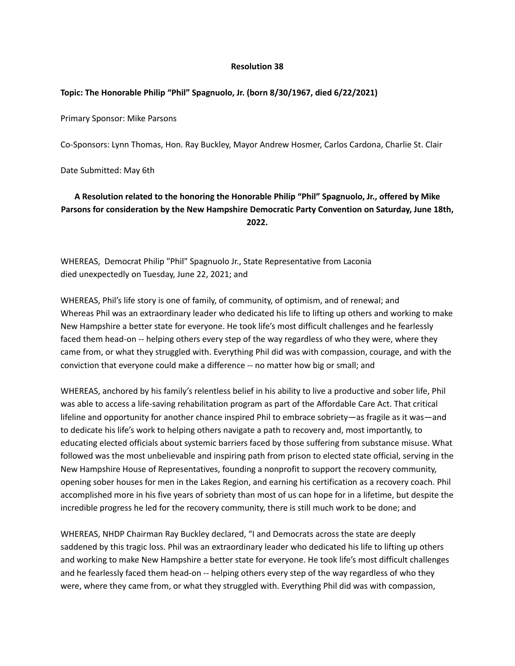#### **Topic: The Honorable Philip "Phil" Spagnuolo, Jr. (born 8/30/1967, died 6/22/2021)**

Primary Sponsor: Mike Parsons

Co-Sponsors: Lynn Thomas, Hon. Ray Buckley, Mayor Andrew Hosmer, Carlos Cardona, Charlie St. Clair

Date Submitted: May 6th

# **A Resolution related to the honoring the Honorable Philip "Phil" Spagnuolo, Jr., offered by Mike Parsons for consideration by the New Hampshire Democratic Party Convention on Saturday, June 18th, 2022.**

WHEREAS, Democrat Philip "Phil" Spagnuolo Jr., State Representative from Laconia died unexpectedly on Tuesday, June 22, 2021; and

WHEREAS, Phil's life story is one of family, of community, of optimism, and of renewal; and Whereas Phil was an extraordinary leader who dedicated his life to lifting up others and working to make New Hampshire a better state for everyone. He took life's most difficult challenges and he fearlessly faced them head-on -- helping others every step of the way regardless of who they were, where they came from, or what they struggled with. Everything Phil did was with compassion, courage, and with the conviction that everyone could make a difference -- no matter how big or small; and

WHEREAS, anchored by his family's relentless belief in his ability to live a productive and sober life, Phil was able to access a life-saving rehabilitation program as part of the Affordable Care Act. That critical lifeline and opportunity for another chance inspired Phil to embrace sobriety—as fragile as it was—and to dedicate his life's work to helping others navigate a path to recovery and, most importantly, to educating elected officials about systemic barriers faced by those suffering from substance misuse. What followed was the most unbelievable and inspiring path from prison to elected state official, serving in the New Hampshire House of Representatives, founding a nonprofit to support the recovery community, opening sober houses for men in the Lakes Region, and earning his certification as a recovery coach. Phil accomplished more in his five years of sobriety than most of us can hope for in a lifetime, but despite the incredible progress he led for the recovery community, there is still much work to be done; and

WHEREAS, NHDP Chairman Ray Buckley declared, "I and Democrats across the state are deeply saddened by this tragic loss. Phil was an extraordinary leader who dedicated his life to lifting up others and working to make New Hampshire a better state for everyone. He took life's most difficult challenges and he fearlessly faced them head-on -- helping others every step of the way regardless of who they were, where they came from, or what they struggled with. Everything Phil did was with compassion,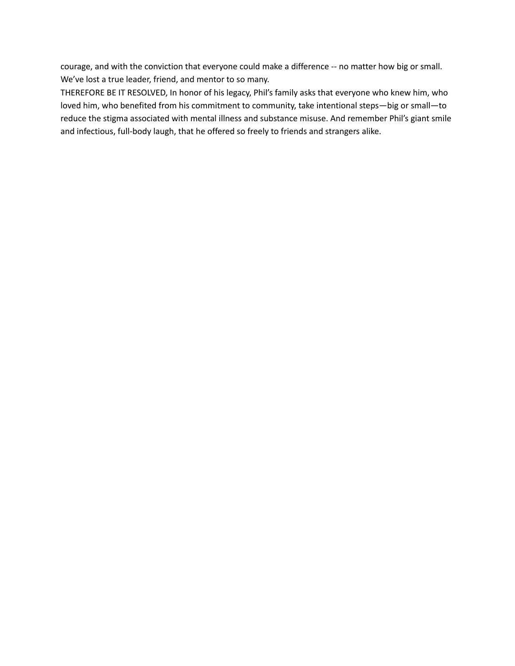courage, and with the conviction that everyone could make a difference -- no matter how big or small. We've lost a true leader, friend, and mentor to so many.

THEREFORE BE IT RESOLVED, In honor of his legacy, Phil's family asks that everyone who knew him, who loved him, who benefited from his commitment to community, take intentional steps—big or small—to reduce the stigma associated with mental illness and substance misuse. And remember Phil's giant smile and infectious, full-body laugh, that he offered so freely to friends and strangers alike.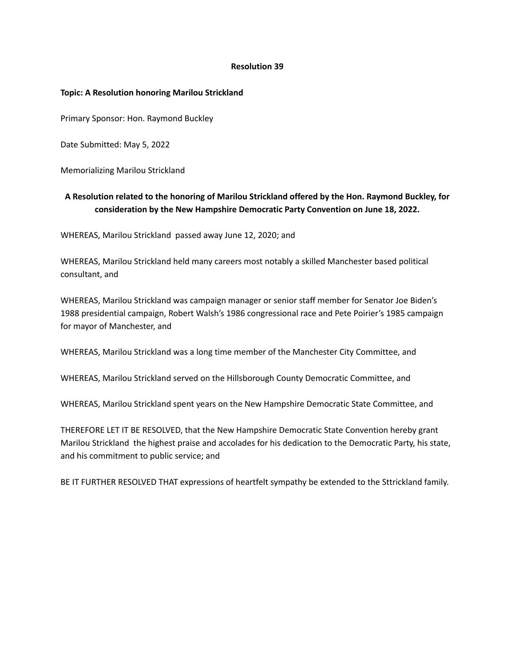## **Topic: A Resolution honoring Marilou Strickland**

Primary Sponsor: Hon. Raymond Buckley

Date Submitted: May 5, 2022

Memorializing Marilou Strickland

# **A Resolution related to the honoring of Marilou Strickland offered by the Hon. Raymond Buckley, for consideration by the New Hampshire Democratic Party Convention on June 18, 2022.**

WHEREAS, Marilou Strickland passed away June 12, 2020; and

WHEREAS, Marilou Strickland held many careers most notably a skilled Manchester based political consultant, and

WHEREAS, Marilou Strickland was campaign manager or senior staff member for Senator Joe Biden's 1988 presidential campaign, Robert Walsh's 1986 congressional race and Pete Poirier's 1985 campaign for mayor of Manchester, and

WHEREAS, Marilou Strickland was a long time member of the Manchester City Committee, and

WHEREAS, Marilou Strickland served on the Hillsborough County Democratic Committee, and

WHEREAS, Marilou Strickland spent years on the New Hampshire Democratic State Committee, and

THEREFORE LET IT BE RESOLVED, that the New Hampshire Democratic State Convention hereby grant Marilou Strickland the highest praise and accolades for his dedication to the Democratic Party, his state, and his commitment to public service; and

BE IT FURTHER RESOLVED THAT expressions of heartfelt sympathy be extended to the Sttrickland family.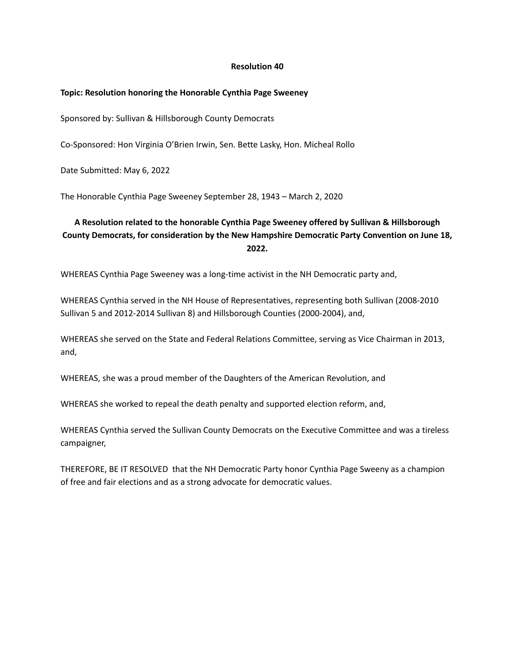## **Topic: Resolution honoring the Honorable Cynthia Page Sweeney**

Sponsored by: Sullivan & Hillsborough County Democrats

Co-Sponsored: Hon Virginia O'Brien Irwin, Sen. Bette Lasky, Hon. Micheal Rollo

Date Submitted: May 6, 2022

The Honorable Cynthia Page Sweeney September 28, 1943 – March 2, 2020

# **A Resolution related to the honorable Cynthia Page Sweeney offered by Sullivan & Hillsborough County Democrats, for consideration by the New Hampshire Democratic Party Convention on June 18, 2022.**

WHEREAS Cynthia Page Sweeney was a long-time activist in the NH Democratic party and,

WHEREAS Cynthia served in the NH House of Representatives, representing both Sullivan (2008-2010 Sullivan 5 and 2012-2014 Sullivan 8) and Hillsborough Counties (2000-2004), and,

WHEREAS she served on the State and Federal Relations Committee, serving as Vice Chairman in 2013, and,

WHEREAS, she was a proud member of the Daughters of the American Revolution, and

WHEREAS she worked to repeal the death penalty and supported election reform, and,

WHEREAS Cynthia served the Sullivan County Democrats on the Executive Committee and was a tireless campaigner,

THEREFORE, BE IT RESOLVED that the NH Democratic Party honor Cynthia Page Sweeny as a champion of free and fair elections and as a strong advocate for democratic values.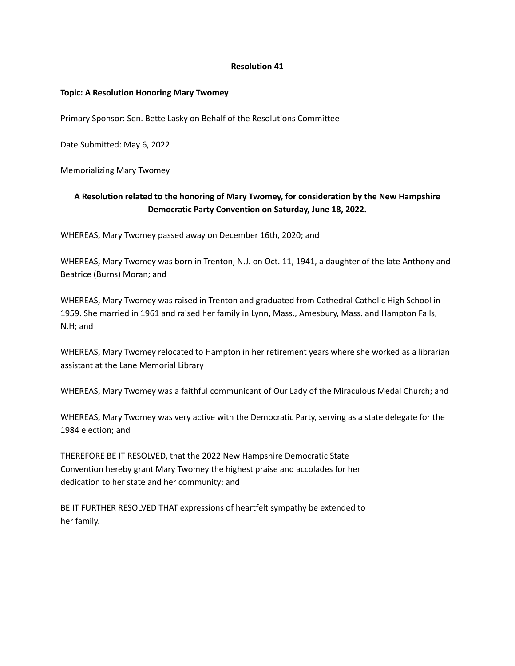## **Topic: A Resolution Honoring Mary Twomey**

Primary Sponsor: Sen. Bette Lasky on Behalf of the Resolutions Committee

Date Submitted: May 6, 2022

Memorializing Mary Twomey

# **A Resolution related to the honoring of Mary Twomey, for consideration by the New Hampshire Democratic Party Convention on Saturday, June 18, 2022.**

WHEREAS, Mary Twomey passed away on December 16th, 2020; and

WHEREAS, Mary Twomey was born in Trenton, N.J. on Oct. 11, 1941, a daughter of the late Anthony and Beatrice (Burns) Moran; and

WHEREAS, Mary Twomey was raised in Trenton and graduated from Cathedral Catholic High School in 1959. She married in 1961 and raised her family in Lynn, Mass., Amesbury, Mass. and Hampton Falls, N.H; and

WHEREAS, Mary Twomey relocated to Hampton in her retirement years where she worked as a librarian assistant at the Lane Memorial Library

WHEREAS, Mary Twomey was a faithful communicant of Our Lady of the Miraculous Medal Church; and

WHEREAS, Mary Twomey was very active with the Democratic Party, serving as a state delegate for the 1984 election; and

THEREFORE BE IT RESOLVED, that the 2022 New Hampshire Democratic State Convention hereby grant Mary Twomey the highest praise and accolades for her dedication to her state and her community; and

BE IT FURTHER RESOLVED THAT expressions of heartfelt sympathy be extended to her family.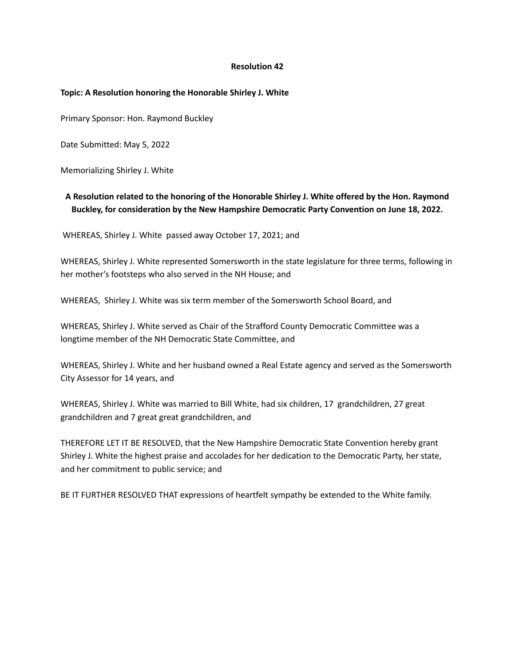#### **Topic: A Resolution honoring the Honorable Shirley J. White**

Primary Sponsor: Hon. Raymond Buckley

Date Submitted: May 5, 2022

Memorializing Shirley J. White

# **A Resolution related to the honoring of the Honorable Shirley J. White offered by the Hon. Raymond Buckley, for consideration by the New Hampshire Democratic Party Convention on June 18, 2022.**

WHEREAS, Shirley J. White passed away October 17, 2021; and

WHEREAS, Shirley J. White represented Somersworth in the state legislature for three terms, following in her mother's footsteps who also served in the NH House; and

WHEREAS, Shirley J. White was six term member of the Somersworth School Board, and

WHEREAS, Shirley J. White served as Chair of the Strafford County Democratic Committee was a longtime member of the NH Democratic State Committee, and

WHEREAS, Shirley J. White and her husband owned a Real Estate agency and served as the Somersworth City Assessor for 14 years, and

WHEREAS, Shirley J. White was married to Bill White, had six children, 17 grandchildren, 27 great grandchildren and 7 great great grandchildren, and

THEREFORE LET IT BE RESOLVED, that the New Hampshire Democratic State Convention hereby grant Shirley J. White the highest praise and accolades for her dedication to the Democratic Party, her state, and her commitment to public service; and

BE IT FURTHER RESOLVED THAT expressions of heartfelt sympathy be extended to the White family.